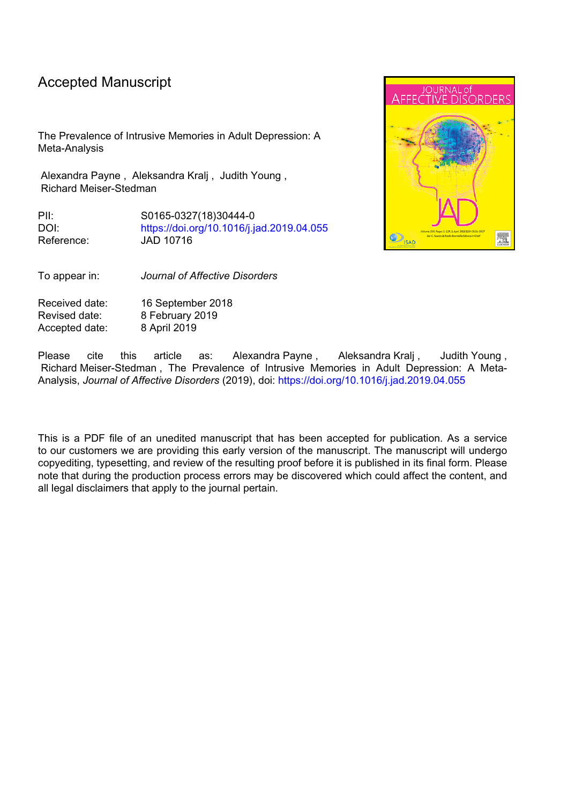# Accepted Manuscript

The Prevalence of Intrusive Memories in Adult Depression: A Meta-Analysis

Alexandra Payne , Aleksandra Kralj , Judith Young , Richard Meiser-Stedman

PII: S0165-0327(18)30444-0 DOI: <https://doi.org/10.1016/j.jad.2019.04.055> Reference: JAD 10716



To appear in: *Journal of Affective Disorders*

Received date: 16 September 2018 Revised date: 8 February 2019 Accepted date: 8 April 2019

Please cite this article as: Alexandra-Payne, Aleksandra-Kralj, Judith-Young, Richard Meiser-Stedman , The Prevalence of Intrusive Memories in Adult Depression: A Meta-Analysis, *Journal of Affective Disorders* (2019), doi: <https://doi.org/10.1016/j.jad.2019.04.055>

This is a PDF file of an unedited manuscript that has been accepted for publication. As a service to our customers we are providing this early version of the manuscript. The manuscript will undergo copyediting, typesetting, and review of the resulting proof before it is published in its final form. Please note that during the production process errors may be discovered which could affect the content, and all legal disclaimers that apply to the journal pertain.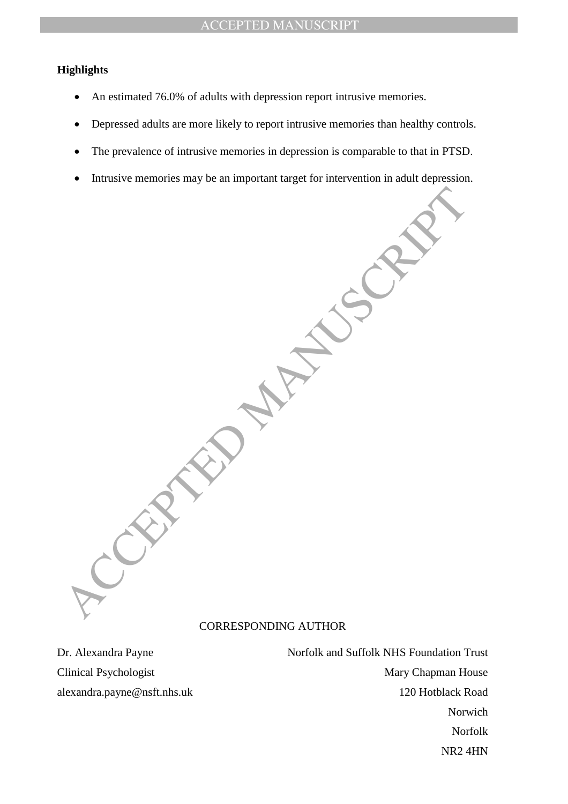# **Highlights**

- An estimated 76.0% of adults with depression report intrusive memories.
- Depressed adults are more likely to report intrusive memories than healthy controls.
- The prevalence of intrusive memories in depression is comparable to that in PTSD.
- Intrusive memories may be an important target for intervention in adult depression.

ACCEPTED MANUSCRIPT CORRESPONDING AUTHOR

Dr. Alexandra Payne Norfolk and Suffolk NHS Foundation Trust Clinical Psychologist Mary Chapman House alexandra.payne@nsft.nhs.uk 120 Hotblack Road Norwich Norfolk NR2 4HN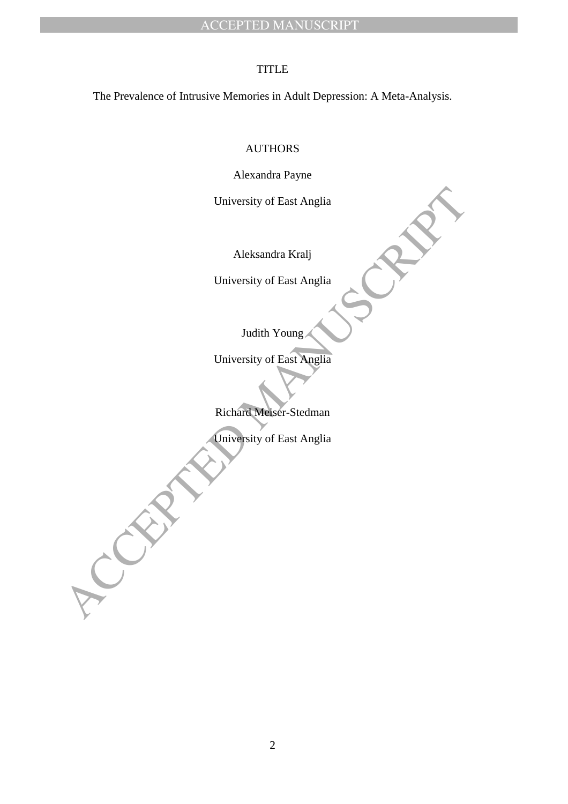# **TITLE**

The Prevalence of Intrusive Memories in Adult Depression: A Meta-Analysis.

# AUTHORS

Alexandra Payne

University of East Anglia

Aleksandra Kralj

University of East Anglia

Judith Young

University of East Anglia<br>
Aleksandra Kralj<br>
University of East Anglia<br>
Ludith Young<br>
University of East Anglia<br>
Richard Meiser-Stedman<br>
Directory of East Anglia<br>
Richard Meiser-Stedman<br>
Directory of East Anglia University of East Anglia

Richard Meiser-Stedman

University of East Anglia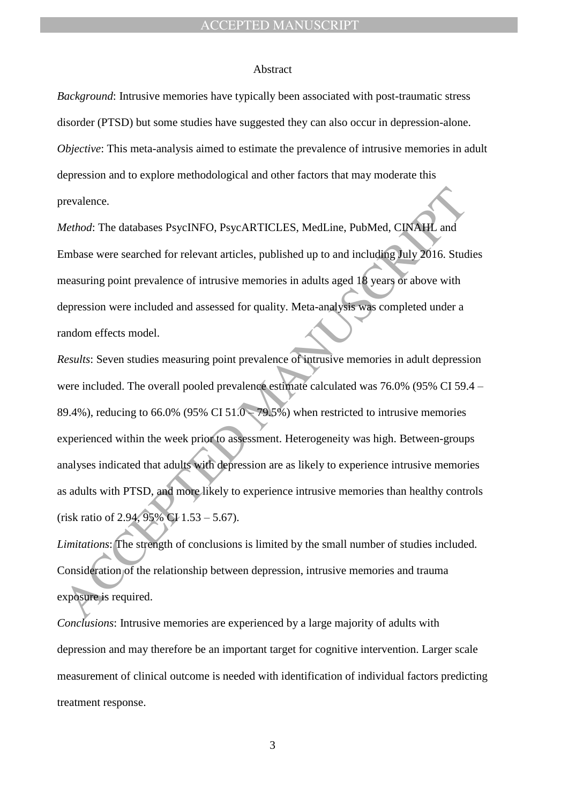#### Abstract

*Background*: Intrusive memories have typically been associated with post-traumatic stress disorder (PTSD) but some studies have suggested they can also occur in depression-alone. *Objective*: This meta-analysis aimed to estimate the prevalence of intrusive memories in adult depression and to explore methodological and other factors that may moderate this prevalence.

*Method*: The databases PsycINFO, PsycARTICLES, MedLine, PubMed, CINAHL and Embase were searched for relevant articles, published up to and including July 2016. Studies measuring point prevalence of intrusive memories in adults aged 18 years or above with depression were included and assessed for quality. Meta-analysis was completed under a random effects model.

*dethod:* The databases PsycINFO. PsycARTICLES. MedLine. PubMed. CINAIL and<br>
and *m*base were searched for relevant articles, published up to and including July 2016. Students<br>
measuring point prevalence of intrusive memor *Results*: Seven studies measuring point prevalence of intrusive memories in adult depression were included. The overall pooled prevalence estimate calculated was 76.0% (95% CI 59.4 – 89.4%), reducing to 66.0% (95% CI  $51.0 - 79.5%$ ) when restricted to intrusive memories experienced within the week prior to assessment. Heterogeneity was high. Between-groups analyses indicated that adults with depression are as likely to experience intrusive memories as adults with PTSD, and more likely to experience intrusive memories than healthy controls (risk ratio of 2.94, 95% CI  $1.53 - 5.67$ ).

*Limitations*: The strength of conclusions is limited by the small number of studies included. Consideration of the relationship between depression, intrusive memories and trauma exposure is required.

*Conclusions*: Intrusive memories are experienced by a large majority of adults with depression and may therefore be an important target for cognitive intervention. Larger scale measurement of clinical outcome is needed with identification of individual factors predicting treatment response.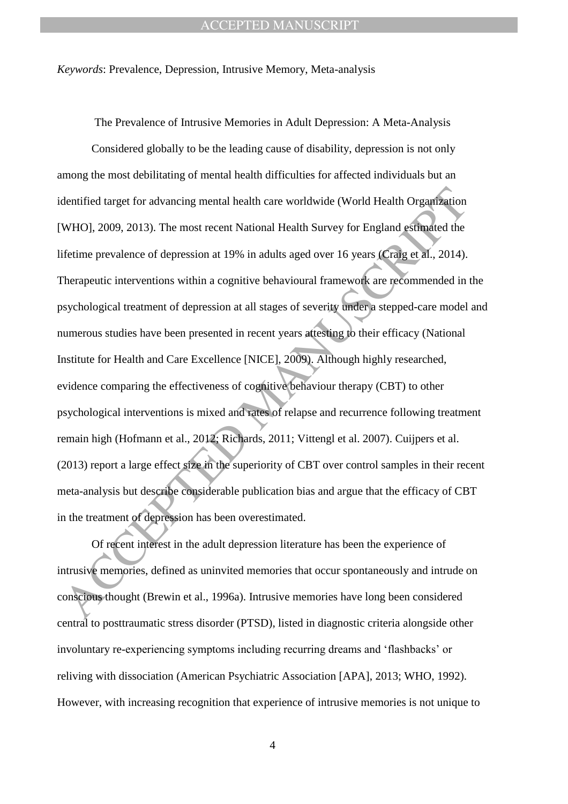*Keywords*: Prevalence, Depression, Intrusive Memory, Meta-analysis

The Prevalence of Intrusive Memories in Adult Depression: A Meta-Analysis

dentified target for advancing mental health care worldwide (World Health Organization<br>WHOJ, 2009, 2013). The most recent National Health Survey for England estimated the<br>iferime prevalence of depression at 19% in adults a Considered globally to be the leading cause of disability, depression is not only among the most debilitating of mental health difficulties for affected individuals but an identified target for advancing mental health care worldwide (World Health Organization [WHO], 2009, 2013). The most recent National Health Survey for England estimated the lifetime prevalence of depression at 19% in adults aged over 16 years (Craig et al., 2014). Therapeutic interventions within a cognitive behavioural framework are recommended in the psychological treatment of depression at all stages of severity under a stepped-care model and numerous studies have been presented in recent years attesting to their efficacy (National Institute for Health and Care Excellence [NICE], 2009). Although highly researched, evidence comparing the effectiveness of cognitive behaviour therapy (CBT) to other psychological interventions is mixed and rates of relapse and recurrence following treatment remain high (Hofmann et al., 2012; Richards, 2011; Vittengl et al. 2007). Cuijpers et al. (2013) report a large effect size in the superiority of CBT over control samples in their recent meta-analysis but describe considerable publication bias and argue that the efficacy of CBT in the treatment of depression has been overestimated.

Of recent interest in the adult depression literature has been the experience of intrusive memories, defined as uninvited memories that occur spontaneously and intrude on conscious thought (Brewin et al., 1996a). Intrusive memories have long been considered central to posttraumatic stress disorder (PTSD), listed in diagnostic criteria alongside other involuntary re-experiencing symptoms including recurring dreams and "flashbacks" or reliving with dissociation (American Psychiatric Association [APA], 2013; WHO, 1992). However, with increasing recognition that experience of intrusive memories is not unique to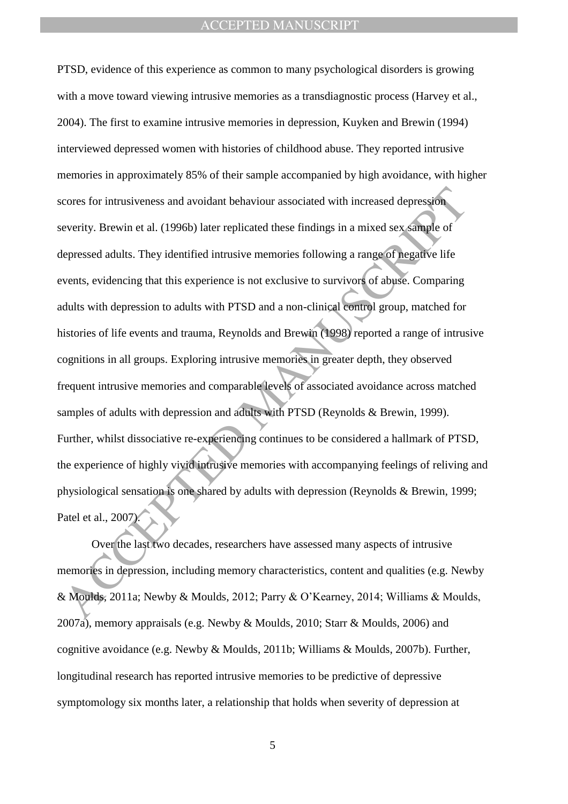cores for intrusiveness and avoidant behaviour associated with increased depression<br>everity. Brewin et al. (1996b) later replicated these findings in a mixed sex sample of<br>epressed adults. They identified intrusive memorie PTSD, evidence of this experience as common to many psychological disorders is growing with a move toward viewing intrusive memories as a transdiagnostic process (Harvey et al., 2004). The first to examine intrusive memories in depression, Kuyken and Brewin (1994) interviewed depressed women with histories of childhood abuse. They reported intrusive memories in approximately 85% of their sample accompanied by high avoidance, with higher scores for intrusiveness and avoidant behaviour associated with increased depression severity. Brewin et al. (1996b) later replicated these findings in a mixed sex sample of depressed adults. They identified intrusive memories following a range of negative life events, evidencing that this experience is not exclusive to survivors of abuse. Comparing adults with depression to adults with PTSD and a non-clinical control group, matched for histories of life events and trauma, Reynolds and Brewin (1998) reported a range of intrusive cognitions in all groups. Exploring intrusive memories in greater depth, they observed frequent intrusive memories and comparable levels of associated avoidance across matched samples of adults with depression and adults with PTSD (Reynolds & Brewin, 1999). Further, whilst dissociative re-experiencing continues to be considered a hallmark of PTSD, the experience of highly vivid intrusive memories with accompanying feelings of reliving and physiological sensation is one shared by adults with depression (Reynolds & Brewin, 1999; Patel et al., 2007).

Over the last two decades, researchers have assessed many aspects of intrusive memories in depression, including memory characteristics, content and qualities (e.g. Newby & Moulds, 2011a; Newby & Moulds, 2012; Parry & O"Kearney, 2014; Williams & Moulds, 2007a), memory appraisals (e.g. Newby & Moulds, 2010; Starr & Moulds, 2006) and cognitive avoidance (e.g. Newby & Moulds, 2011b; Williams & Moulds, 2007b). Further, longitudinal research has reported intrusive memories to be predictive of depressive symptomology six months later, a relationship that holds when severity of depression at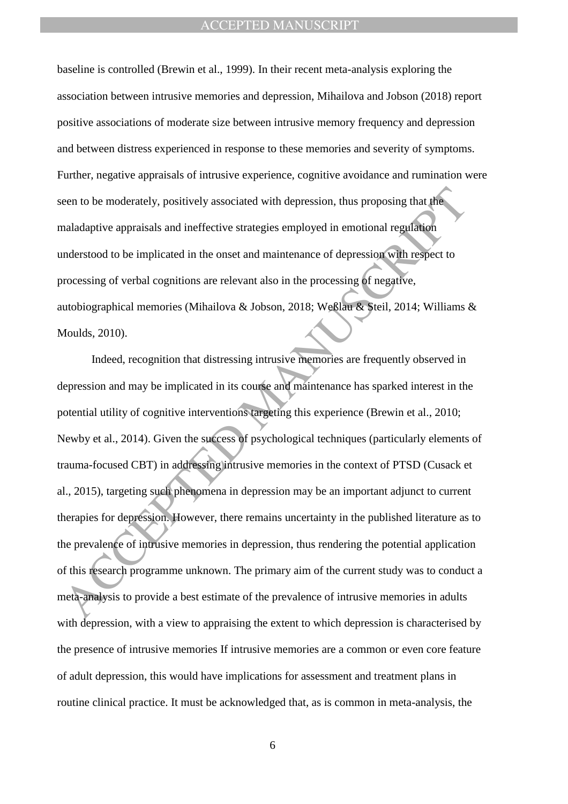baseline is controlled (Brewin et al., 1999). In their recent meta-analysis exploring the association between intrusive memories and depression, Mihailova and Jobson (2018) report positive associations of moderate size between intrusive memory frequency and depression and between distress experienced in response to these memories and severity of symptoms. Further, negative appraisals of intrusive experience, cognitive avoidance and rumination were seen to be moderately, positively associated with depression, thus proposing that the maladaptive appraisals and ineffective strategies employed in emotional regulation understood to be implicated in the onset and maintenance of depression with respect to processing of verbal cognitions are relevant also in the processing of negative, autobiographical memories (Mihailova & Jobson, 2018; Weßlau & Steil, 2014; Williams & Moulds, 2010).

een to be moderately, positively associated with depression, thus proposing that the maladaptive appraisals and ineffective strategies employed in emotional regulation<br>maladaptive appraisals and ineffective strategies empl Indeed, recognition that distressing intrusive memories are frequently observed in depression and may be implicated in its course and maintenance has sparked interest in the potential utility of cognitive interventions targeting this experience (Brewin et al., 2010; Newby et al., 2014). Given the success of psychological techniques (particularly elements of trauma-focused CBT) in addressing intrusive memories in the context of PTSD (Cusack et al., 2015), targeting such phenomena in depression may be an important adjunct to current therapies for depression. However, there remains uncertainty in the published literature as to the prevalence of intrusive memories in depression, thus rendering the potential application of this research programme unknown. The primary aim of the current study was to conduct a meta-analysis to provide a best estimate of the prevalence of intrusive memories in adults with depression, with a view to appraising the extent to which depression is characterised by the presence of intrusive memories If intrusive memories are a common or even core feature of adult depression, this would have implications for assessment and treatment plans in routine clinical practice. It must be acknowledged that, as is common in meta-analysis, the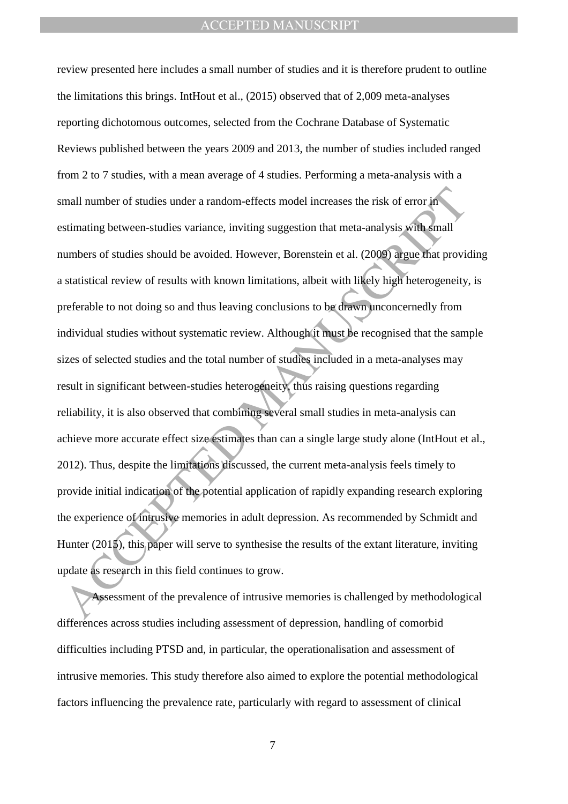mall number of studies under a random-effects model increases the risk of error in<br>
stimating between-studies variance, inviting suggestion that meta-analysis with small<br>
statistical review of results with known limitation review presented here includes a small number of studies and it is therefore prudent to outline the limitations this brings. IntHout et al., (2015) observed that of 2,009 meta-analyses reporting dichotomous outcomes, selected from the Cochrane Database of Systematic Reviews published between the years 2009 and 2013, the number of studies included ranged from 2 to 7 studies, with a mean average of 4 studies. Performing a meta-analysis with a small number of studies under a random-effects model increases the risk of error in estimating between-studies variance, inviting suggestion that meta-analysis with small numbers of studies should be avoided. However, Borenstein et al. (2009) argue that providing a statistical review of results with known limitations, albeit with likely high heterogeneity, is preferable to not doing so and thus leaving conclusions to be drawn unconcernedly from individual studies without systematic review. Although it must be recognised that the sample sizes of selected studies and the total number of studies included in a meta-analyses may result in significant between-studies heterogeneity, thus raising questions regarding reliability, it is also observed that combining several small studies in meta-analysis can achieve more accurate effect size estimates than can a single large study alone (IntHout et al., 2012). Thus, despite the limitations discussed, the current meta-analysis feels timely to provide initial indication of the potential application of rapidly expanding research exploring the experience of intrusive memories in adult depression. As recommended by Schmidt and Hunter (2015), this paper will serve to synthesise the results of the extant literature, inviting update as research in this field continues to grow.

Assessment of the prevalence of intrusive memories is challenged by methodological differences across studies including assessment of depression, handling of comorbid difficulties including PTSD and, in particular, the operationalisation and assessment of intrusive memories. This study therefore also aimed to explore the potential methodological factors influencing the prevalence rate, particularly with regard to assessment of clinical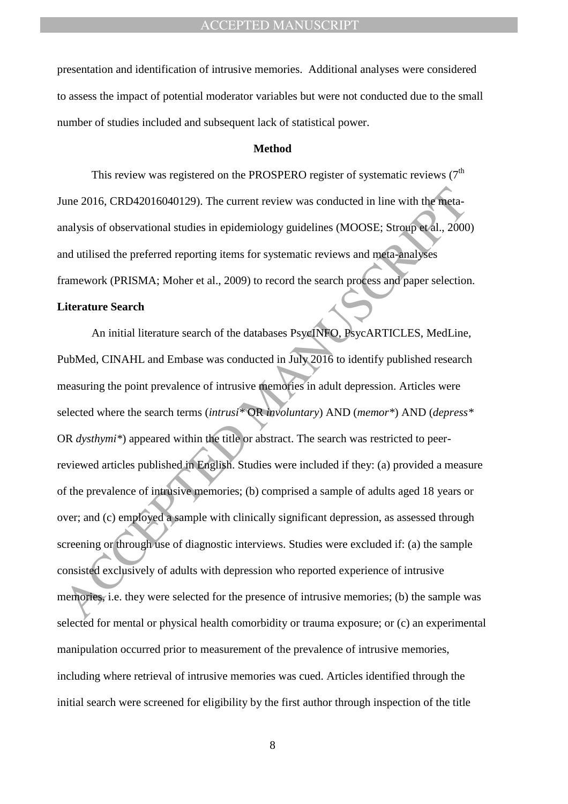presentation and identification of intrusive memories. Additional analyses were considered to assess the impact of potential moderator variables but were not conducted due to the small number of studies included and subsequent lack of statistical power.

#### **Method**

This review was registered on the PROSPERO register of systematic reviews  $(7<sup>th</sup>$ June 2016, CRD42016040129). The current review was conducted in line with the metaanalysis of observational studies in epidemiology guidelines (MOOSE; Stroup et al., 2000) and utilised the preferred reporting items for systematic reviews and meta-analyses framework (PRISMA; Moher et al., 2009) to record the search process and paper selection.

#### **Literature Search**

une 2016, CRD42016040129). The current review was conducted in line with the meta-<br>analysis of observational studies in epidemiology guidelines (MOOSE: Strong et al., 2000<br>and utilised the preferred reporting items for sys An initial literature search of the databases PsycINFO, PsycARTICLES, MedLine, PubMed, CINAHL and Embase was conducted in July 2016 to identify published research measuring the point prevalence of intrusive memories in adult depression. Articles were selected where the search terms (*intrusi\** OR *involuntary*) AND (*memor\**) AND (*depress\** OR *dysthymi\**) appeared within the title or abstract. The search was restricted to peerreviewed articles published in English. Studies were included if they: (a) provided a measure of the prevalence of intrusive memories; (b) comprised a sample of adults aged 18 years or over; and (c) employed a sample with clinically significant depression, as assessed through screening or through use of diagnostic interviews. Studies were excluded if: (a) the sample consisted exclusively of adults with depression who reported experience of intrusive memories, i.e. they were selected for the presence of intrusive memories; (b) the sample was selected for mental or physical health comorbidity or trauma exposure; or (c) an experimental manipulation occurred prior to measurement of the prevalence of intrusive memories, including where retrieval of intrusive memories was cued. Articles identified through the initial search were screened for eligibility by the first author through inspection of the title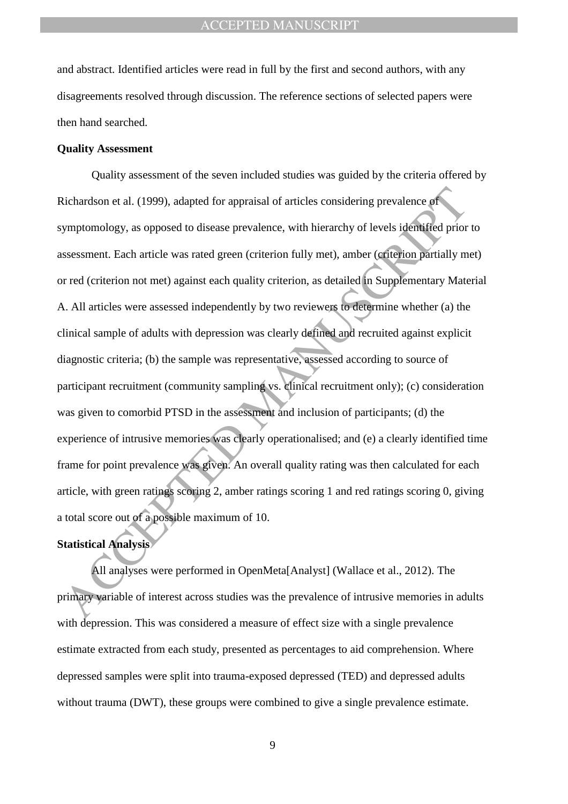and abstract. Identified articles were read in full by the first and second authors, with any disagreements resolved through discussion. The reference sections of selected papers were then hand searched.

#### **Quality Assessment**

Richardson et al. (1999), adapted for appraisal of articles considering prevalence of<br>
ymptomology, as opposed to disease prevalence, with hierarchy of levels identified prior<br>
systesment. Each article was rated green (cri Quality assessment of the seven included studies was guided by the criteria offered by Richardson et al. (1999), adapted for appraisal of articles considering prevalence of symptomology, as opposed to disease prevalence, with hierarchy of levels identified prior to assessment. Each article was rated green (criterion fully met), amber (criterion partially met) or red (criterion not met) against each quality criterion, as detailed in Supplementary Material A. All articles were assessed independently by two reviewers to determine whether (a) the clinical sample of adults with depression was clearly defined and recruited against explicit diagnostic criteria; (b) the sample was representative, assessed according to source of participant recruitment (community sampling vs. clinical recruitment only); (c) consideration was given to comorbid PTSD in the assessment and inclusion of participants; (d) the experience of intrusive memories was clearly operationalised; and (e) a clearly identified time frame for point prevalence was given. An overall quality rating was then calculated for each article, with green ratings scoring 2, amber ratings scoring 1 and red ratings scoring 0, giving a total score out of a possible maximum of 10.

# **Statistical Analysis**

All analyses were performed in OpenMeta[Analyst] (Wallace et al., 2012). The primary variable of interest across studies was the prevalence of intrusive memories in adults with depression. This was considered a measure of effect size with a single prevalence estimate extracted from each study, presented as percentages to aid comprehension. Where depressed samples were split into trauma-exposed depressed (TED) and depressed adults without trauma (DWT), these groups were combined to give a single prevalence estimate.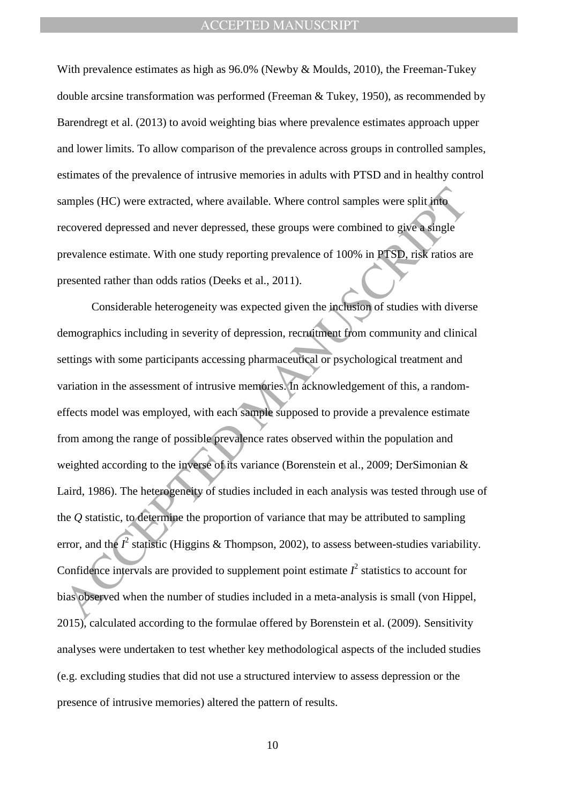With prevalence estimates as high as 96.0% (Newby & Moulds, 2010), the Freeman-Tukey double arcsine transformation was performed (Freeman & Tukey, 1950), as recommended by Barendregt et al. (2013) to avoid weighting bias where prevalence estimates approach upper and lower limits. To allow comparison of the prevalence across groups in controlled samples, estimates of the prevalence of intrusive memories in adults with PTSD and in healthy control samples (HC) were extracted, where available. Where control samples were split into recovered depressed and never depressed, these groups were combined to give a single prevalence estimate. With one study reporting prevalence of 100% in PTSD, risk ratios are presented rather than odds ratios (Deeks et al., 2011).

amples (HC) were extracted, where available. Where control samples were split into<br>ecovered depressed and never depressed, these groups were combined to give a single<br>revalence estimate. With one study reporting prevalenc Considerable heterogeneity was expected given the inclusion of studies with diverse demographics including in severity of depression, recruitment from community and clinical settings with some participants accessing pharmaceutical or psychological treatment and variation in the assessment of intrusive memories. In acknowledgement of this, a randomeffects model was employed, with each sample supposed to provide a prevalence estimate from among the range of possible prevalence rates observed within the population and weighted according to the inverse of its variance (Borenstein et al., 2009; DerSimonian & Laird, 1986). The heterogeneity of studies included in each analysis was tested through use of the *Q* statistic, to determine the proportion of variance that may be attributed to sampling error, and the  $I^2$  statistic (Higgins & Thompson, 2002), to assess between-studies variability. Confidence intervals are provided to supplement point estimate  $I^2$  statistics to account for bias observed when the number of studies included in a meta-analysis is small (von Hippel, 2015), calculated according to the formulae offered by Borenstein et al. (2009). Sensitivity analyses were undertaken to test whether key methodological aspects of the included studies (e.g. excluding studies that did not use a structured interview to assess depression or the presence of intrusive memories) altered the pattern of results.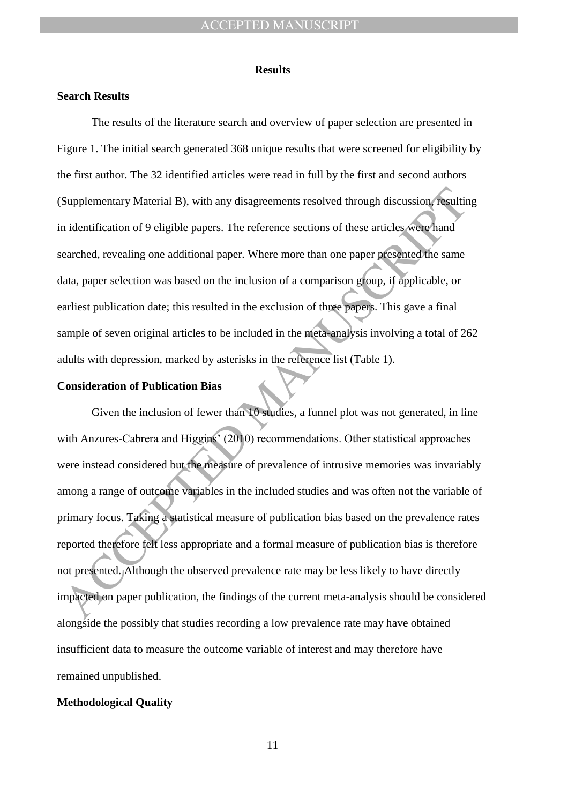#### **Results**

#### **Search Results**

The results of the literature search and overview of paper selection are presented in Figure 1. The initial search generated 368 unique results that were screened for eligibility by the first author. The 32 identified articles were read in full by the first and second authors (Supplementary Material B), with any disagreements resolved through discussion, resulting in identification of 9 eligible papers. The reference sections of these articles were hand searched, revealing one additional paper. Where more than one paper presented the same data, paper selection was based on the inclusion of a comparison group, if applicable, or earliest publication date; this resulted in the exclusion of three papers. This gave a final sample of seven original articles to be included in the meta-analysis involving a total of 262 adults with depression, marked by asterisks in the reference list (Table 1).

# **Consideration of Publication Bias**

Supplementary Material B), with any disagreements resolved through discussion result<br>in identification of 9 eligible papers. The reference sections of these articles were hand<br>are thed, revealing one additional paper. Wher Given the inclusion of fewer than 10 studies, a funnel plot was not generated, in line with Anzures-Cabrera and Higgins' (2010) recommendations. Other statistical approaches were instead considered but the measure of prevalence of intrusive memories was invariably among a range of outcome variables in the included studies and was often not the variable of primary focus. Taking a statistical measure of publication bias based on the prevalence rates reported therefore felt less appropriate and a formal measure of publication bias is therefore not presented. Although the observed prevalence rate may be less likely to have directly impacted on paper publication, the findings of the current meta-analysis should be considered alongside the possibly that studies recording a low prevalence rate may have obtained insufficient data to measure the outcome variable of interest and may therefore have remained unpublished.

### **Methodological Quality**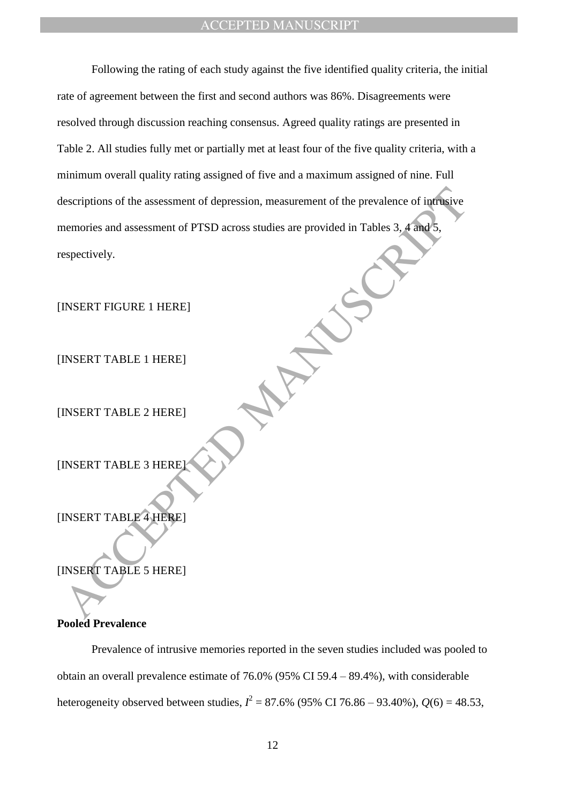Escriptions of the assessment of depression, measurement of the prevalence of infinitive<br>nemories and assessment of PTSD across studies are provided in Tables 3, A and 5,<br>especifiely.<br>INSERT FIGURE 1 HERE INSERT TABLE 1 HE Following the rating of each study against the five identified quality criteria, the initial rate of agreement between the first and second authors was 86%. Disagreements were resolved through discussion reaching consensus. Agreed quality ratings are presented in Table 2. All studies fully met or partially met at least four of the five quality criteria, with a minimum overall quality rating assigned of five and a maximum assigned of nine. Full descriptions of the assessment of depression, measurement of the prevalence of intrusive memories and assessment of PTSD across studies are provided in Tables 3, 4 and 5, respectively.

[INSERT FIGURE 1 HERE]

[INSERT TABLE 1 HERE]

[INSERT TABLE 2 HERE]

**[INSERT TABLE 3 HERE**]

[INSERT TABLE 4 HERE]

[INSERT TABLE 5 HERE]

# **Pooled Prevalence**

Prevalence of intrusive memories reported in the seven studies included was pooled to obtain an overall prevalence estimate of 76.0% (95% CI 59.4 – 89.4%), with considerable heterogeneity observed between studies,  $I^2 = 87.6\%$  (95% CI 76.86 – 93.40%),  $Q(6) = 48.53$ ,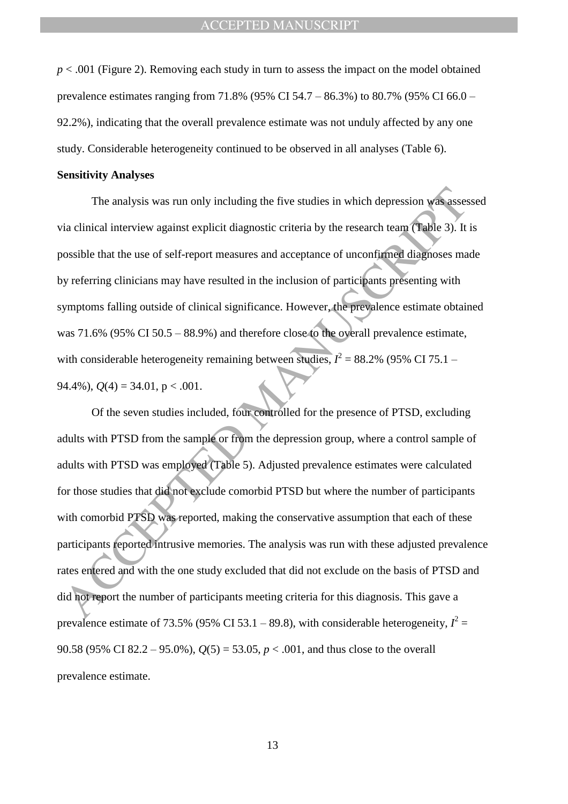$p < .001$  (Figure 2). Removing each study in turn to assess the impact on the model obtained prevalence estimates ranging from 71.8% (95% CI 54.7 – 86.3%) to 80.7% (95% CI 66.0 – 92.2%), indicating that the overall prevalence estimate was not unduly affected by any one study. Considerable heterogeneity continued to be observed in all analyses (Table 6).

#### **Sensitivity Analyses**

The analysis was run only including the five studies in which depression was assessed via clinical interview against explicit diagnostic criteria by the research team (Table 3). It is possible that the use of self-report measures and acceptance of unconfirmed diagnoses made by referring clinicians may have resulted in the inclusion of participants presenting with symptoms falling outside of clinical significance. However, the prevalence estimate obtained was 71.6% (95% CI 50.5 – 88.9%) and therefore close to the overall prevalence estimate, with considerable heterogeneity remaining between studies,  $I^2 = 88.2\%$  (95% CI 75.1 – 94.4%),  $Q(4) = 34.01$ ,  $p < .001$ .

The analysis was run only including the five studies in which depression was asses<br>via clinical interview against explicit diagnostic criteria by the research team (Table 3). It<br>sossible that the use of self-report measur Of the seven studies included, four controlled for the presence of PTSD, excluding adults with PTSD from the sample or from the depression group, where a control sample of adults with PTSD was employed (Table 5). Adjusted prevalence estimates were calculated for those studies that did not exclude comorbid PTSD but where the number of participants with comorbid PTSD was reported, making the conservative assumption that each of these participants reported intrusive memories. The analysis was run with these adjusted prevalence rates entered and with the one study excluded that did not exclude on the basis of PTSD and did not report the number of participants meeting criteria for this diagnosis. This gave a prevalence estimate of 73.5% (95% CI 53.1 – 89.8), with considerable heterogeneity,  $I^2$  = 90.58 (95% CI 82.2 – 95.0%), *Q*(5) = 53.05, *p* < .001, and thus close to the overall prevalence estimate.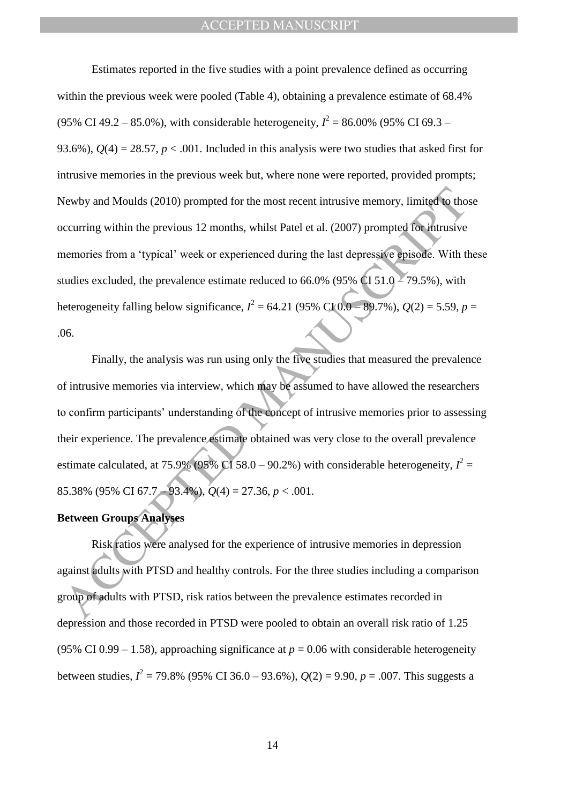Newby and Moulds (2010) prompted for the most recent intrusive memory, limited to the<br>occurring within the previous 12 months, whilst Patel et al. (2007) prompted for intrusive<br>nemories from a "typical" week or experience Estimates reported in the five studies with a point prevalence defined as occurring within the previous week were pooled (Table 4), obtaining a prevalence estimate of 68.4% (95% CI 49.2 – 85.0%), with considerable heterogeneity,  $I^2 = 86.00\%$  (95% CI 69.3 – 93.6%),  $Q(4) = 28.57$ ,  $p < .001$ . Included in this analysis were two studies that asked first for intrusive memories in the previous week but, where none were reported, provided prompts; Newby and Moulds (2010) prompted for the most recent intrusive memory, limited to those occurring within the previous 12 months, whilst Patel et al. (2007) prompted for intrusive memories from a "typical" week or experienced during the last depressive episode. With these studies excluded, the prevalence estimate reduced to 66.0% (95% CI 51.0 – 79.5%), with heterogeneity falling below significance,  $I^2 = 64.21$  (95% CI 0.0 – 89.7%),  $Q(2) = 5.59$ ,  $p =$ .06.

Finally, the analysis was run using only the five studies that measured the prevalence of intrusive memories via interview, which may be assumed to have allowed the researchers to confirm participants' understanding of the concept of intrusive memories prior to assessing their experience. The prevalence estimate obtained was very close to the overall prevalence estimate calculated, at 75.9% (95% CI 58.0 – 90.2%) with considerable heterogeneity,  $I^2 =$ 85.38% (95% CI 67.7 – 93.4%), *Q*(4) = 27.36, *p* < .001.

### **Between Groups Analyses**

Risk ratios were analysed for the experience of intrusive memories in depression against adults with PTSD and healthy controls. For the three studies including a comparison group of adults with PTSD, risk ratios between the prevalence estimates recorded in depression and those recorded in PTSD were pooled to obtain an overall risk ratio of 1.25 (95% CI 0.99 – 1.58), approaching significance at  $p = 0.06$  with considerable heterogeneity between studies,  $I^2 = 79.8\%$  (95% CI 36.0 – 93.6%),  $Q(2) = 9.90$ ,  $p = .007$ . This suggests a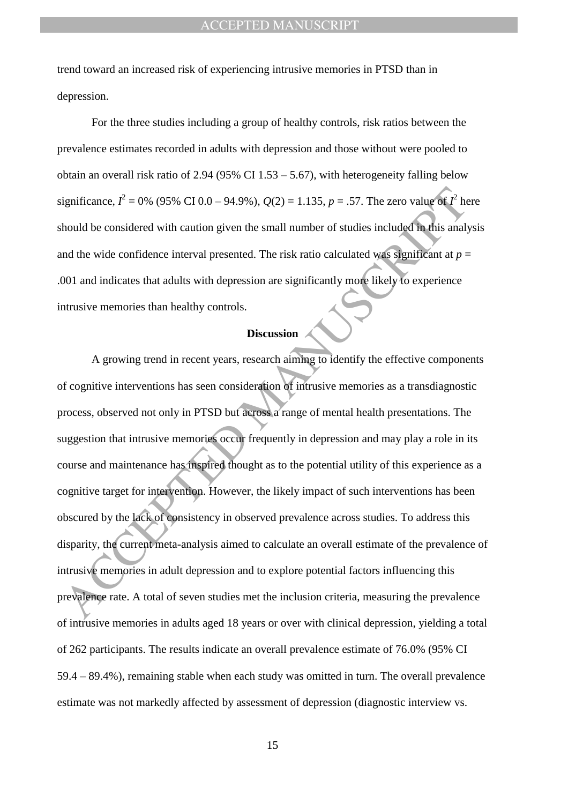trend toward an increased risk of experiencing intrusive memories in PTSD than in depression.

For the three studies including a group of healthy controls, risk ratios between the prevalence estimates recorded in adults with depression and those without were pooled to obtain an overall risk ratio of 2.94 (95% CI 1.53 – 5.67), with heterogeneity falling below significance,  $I^2 = 0$ % (95% CI 0.0 – 94.9%),  $Q(2) = 1.135$ ,  $p = .57$ . The zero value of  $I^2$  here should be considered with caution given the small number of studies included in this analysis and the wide confidence interval presented. The risk ratio calculated was significant at  $p =$ .001 and indicates that adults with depression are significantly more likely to experience intrusive memories than healthy controls.

# **Discussion**

ignificance,  $\vec{F} = 0\%$  (95% CT 0.0 – 94.9%),  $Q(2) = 1.135$ ,  $p = .57$ . The zero value of  $\vec{F}$  he<br>bould be considered with caution given the small number of studies included in this analy<br>and the wide confidence interv A growing trend in recent years, research aiming to identify the effective components of cognitive interventions has seen consideration of intrusive memories as a transdiagnostic process, observed not only in PTSD but across a range of mental health presentations. The suggestion that intrusive memories occur frequently in depression and may play a role in its course and maintenance has inspired thought as to the potential utility of this experience as a cognitive target for intervention. However, the likely impact of such interventions has been obscured by the lack of consistency in observed prevalence across studies. To address this disparity, the current meta-analysis aimed to calculate an overall estimate of the prevalence of intrusive memories in adult depression and to explore potential factors influencing this prevalence rate. A total of seven studies met the inclusion criteria, measuring the prevalence of intrusive memories in adults aged 18 years or over with clinical depression, yielding a total of 262 participants. The results indicate an overall prevalence estimate of 76.0% (95% CI 59.4 – 89.4%), remaining stable when each study was omitted in turn. The overall prevalence estimate was not markedly affected by assessment of depression (diagnostic interview vs.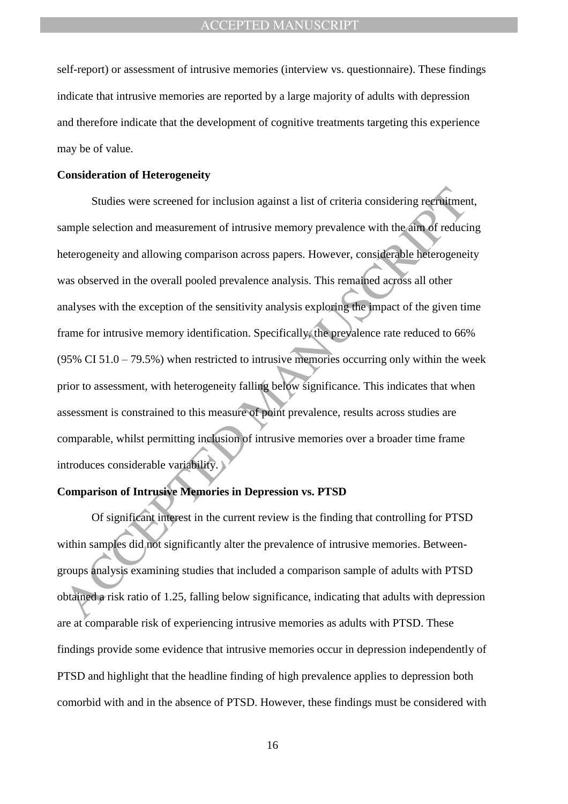self-report) or assessment of intrusive memories (interview vs. questionnaire). These findings indicate that intrusive memories are reported by a large majority of adults with depression and therefore indicate that the development of cognitive treatments targeting this experience may be of value.

#### **Consideration of Heterogeneity**

Studies were screened for inclusion against a list of criteria considering recruitment<br>ample selection and measurement of intrusive memory prevalence with the aim of reducier<br>teterogeneity and allowing comparison across pa Studies were screened for inclusion against a list of criteria considering recruitment, sample selection and measurement of intrusive memory prevalence with the aim of reducing heterogeneity and allowing comparison across papers. However, considerable heterogeneity was observed in the overall pooled prevalence analysis. This remained across all other analyses with the exception of the sensitivity analysis exploring the impact of the given time frame for intrusive memory identification. Specifically, the prevalence rate reduced to 66%  $(95\% \text{ CI } 51.0 - 79.5\%)$  when restricted to intrusive memories occurring only within the week prior to assessment, with heterogeneity falling below significance. This indicates that when assessment is constrained to this measure of point prevalence, results across studies are comparable, whilst permitting inclusion of intrusive memories over a broader time frame introduces considerable variability.

#### **Comparison of Intrusive Memories in Depression vs. PTSD**

Of significant interest in the current review is the finding that controlling for PTSD within samples did not significantly alter the prevalence of intrusive memories. Betweengroups analysis examining studies that included a comparison sample of adults with PTSD obtained a risk ratio of 1.25, falling below significance, indicating that adults with depression are at comparable risk of experiencing intrusive memories as adults with PTSD. These findings provide some evidence that intrusive memories occur in depression independently of PTSD and highlight that the headline finding of high prevalence applies to depression both comorbid with and in the absence of PTSD. However, these findings must be considered with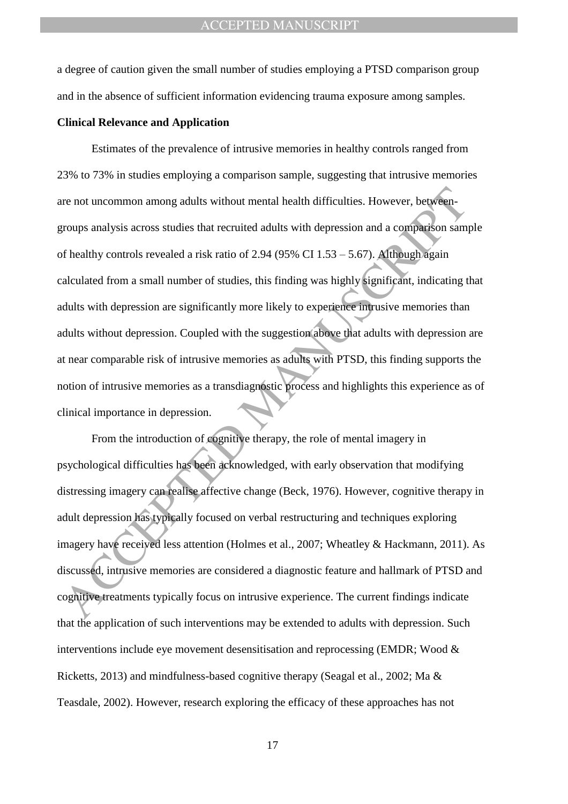a degree of caution given the small number of studies employing a PTSD comparison group and in the absence of sufficient information evidencing trauma exposure among samples.

#### **Clinical Relevance and Application**

re not uncommon among adults without mental health difficulties. However, between<br>props analysis across studies that recruited adults with depression and a comparison sam<br>for healthy controls revealed a risk ratio of 2.94 Estimates of the prevalence of intrusive memories in healthy controls ranged from 23% to 73% in studies employing a comparison sample, suggesting that intrusive memories are not uncommon among adults without mental health difficulties. However, betweengroups analysis across studies that recruited adults with depression and a comparison sample of healthy controls revealed a risk ratio of 2.94 (95% CI  $1.53 - 5.67$ ). Although again calculated from a small number of studies, this finding was highly significant, indicating that adults with depression are significantly more likely to experience intrusive memories than adults without depression. Coupled with the suggestion above that adults with depression are at near comparable risk of intrusive memories as adults with PTSD, this finding supports the notion of intrusive memories as a transdiagnostic process and highlights this experience as of clinical importance in depression.

From the introduction of cognitive therapy, the role of mental imagery in psychological difficulties has been acknowledged, with early observation that modifying distressing imagery can realise affective change (Beck, 1976). However, cognitive therapy in adult depression has typically focused on verbal restructuring and techniques exploring imagery have received less attention (Holmes et al., 2007; Wheatley & Hackmann, 2011). As discussed, intrusive memories are considered a diagnostic feature and hallmark of PTSD and cognitive treatments typically focus on intrusive experience. The current findings indicate that the application of such interventions may be extended to adults with depression. Such interventions include eye movement desensitisation and reprocessing (EMDR; Wood & Ricketts, 2013) and mindfulness-based cognitive therapy (Seagal et al., 2002; Ma & Teasdale, 2002). However, research exploring the efficacy of these approaches has not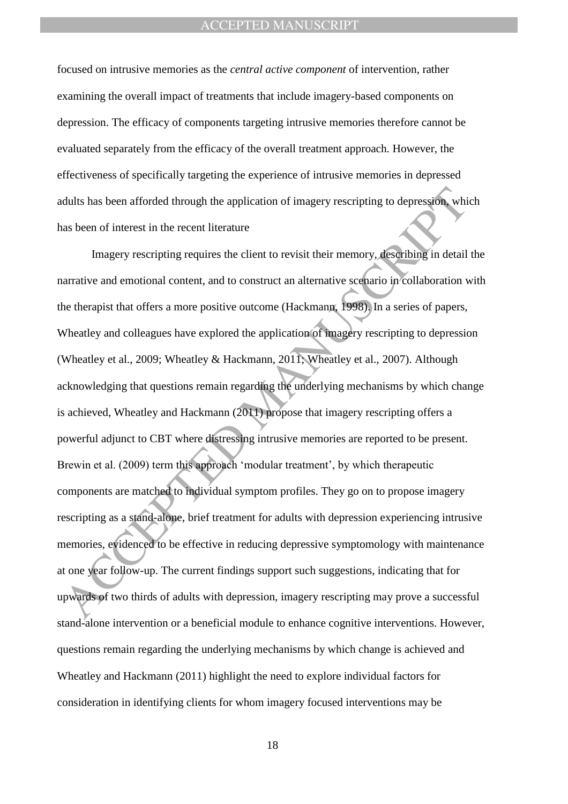focused on intrusive memories as the *central active component* of intervention, rather examining the overall impact of treatments that include imagery-based components on depression. The efficacy of components targeting intrusive memories therefore cannot be evaluated separately from the efficacy of the overall treatment approach. However, the effectiveness of specifically targeting the experience of intrusive memories in depressed adults has been afforded through the application of imagery rescripting to depression, which has been of interest in the recent literature

dults has been afforded through the application of imagery rescripting to depression, while<br>the linear of interest in the recent literature<br>Imagery rescripting requires the client to revisit their memory, describing in det Imagery rescripting requires the client to revisit their memory, describing in detail the narrative and emotional content, and to construct an alternative scenario in collaboration with the therapist that offers a more positive outcome (Hackmann, 1998). In a series of papers, Wheatley and colleagues have explored the application of imagery rescripting to depression (Wheatley et al., 2009; Wheatley & Hackmann, 2011; Wheatley et al., 2007). Although acknowledging that questions remain regarding the underlying mechanisms by which change is achieved, Wheatley and Hackmann (2011) propose that imagery rescripting offers a powerful adjunct to CBT where distressing intrusive memories are reported to be present. Brewin et al. (2009) term this approach 'modular treatment', by which therapeutic components are matched to individual symptom profiles. They go on to propose imagery rescripting as a stand-alone, brief treatment for adults with depression experiencing intrusive memories, evidenced to be effective in reducing depressive symptomology with maintenance at one year follow-up. The current findings support such suggestions, indicating that for upwards of two thirds of adults with depression, imagery rescripting may prove a successful stand-alone intervention or a beneficial module to enhance cognitive interventions. However, questions remain regarding the underlying mechanisms by which change is achieved and Wheatley and Hackmann (2011) highlight the need to explore individual factors for consideration in identifying clients for whom imagery focused interventions may be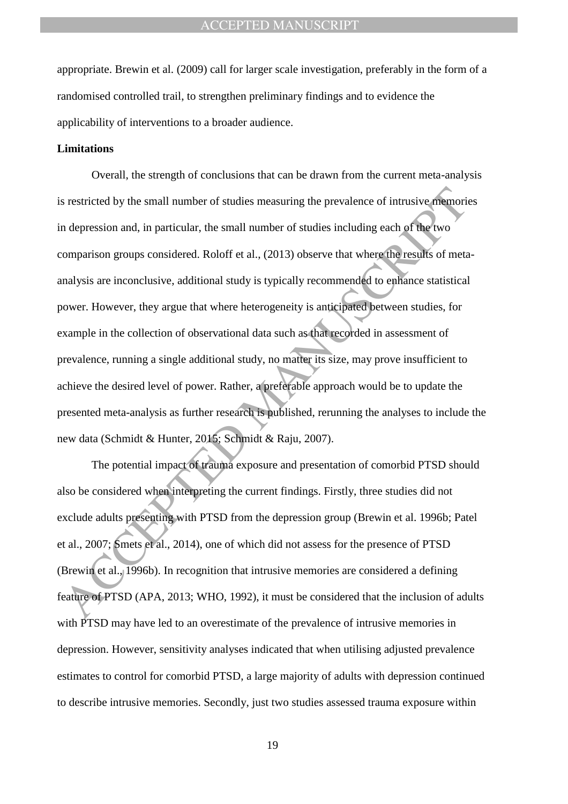appropriate. Brewin et al. (2009) call for larger scale investigation, preferably in the form of a randomised controlled trail, to strengthen preliminary findings and to evidence the applicability of interventions to a broader audience.

#### **Limitations**

s restricted by the small number of studies measuring the prevalence of intrusive memorial depression and, in particular, the small number of studies including each of the two comparison groups considered. Roloff et al., ( Overall, the strength of conclusions that can be drawn from the current meta-analysis is restricted by the small number of studies measuring the prevalence of intrusive memories in depression and, in particular, the small number of studies including each of the two comparison groups considered. Roloff et al., (2013) observe that where the results of metaanalysis are inconclusive, additional study is typically recommended to enhance statistical power. However, they argue that where heterogeneity is anticipated between studies, for example in the collection of observational data such as that recorded in assessment of prevalence, running a single additional study, no matter its size, may prove insufficient to achieve the desired level of power. Rather, a preferable approach would be to update the presented meta-analysis as further research is published, rerunning the analyses to include the new data (Schmidt & Hunter, 2015; Schmidt & Raju, 2007).

The potential impact of trauma exposure and presentation of comorbid PTSD should also be considered when interpreting the current findings. Firstly, three studies did not exclude adults presenting with PTSD from the depression group (Brewin et al. 1996b; Patel et al., 2007; Smets et al., 2014), one of which did not assess for the presence of PTSD (Brewin et al., 1996b). In recognition that intrusive memories are considered a defining feature of PTSD (APA, 2013; WHO, 1992), it must be considered that the inclusion of adults with PTSD may have led to an overestimate of the prevalence of intrusive memories in depression. However, sensitivity analyses indicated that when utilising adjusted prevalence estimates to control for comorbid PTSD, a large majority of adults with depression continued to describe intrusive memories. Secondly, just two studies assessed trauma exposure within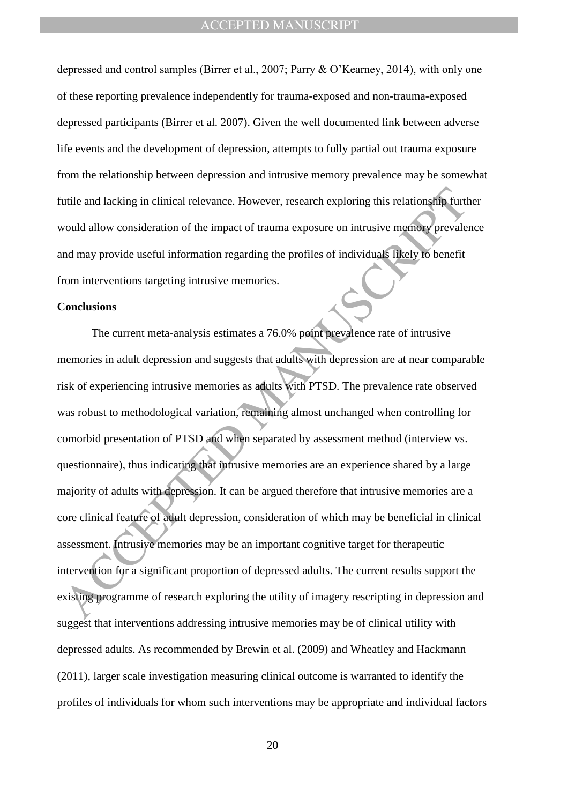depressed and control samples (Birrer et al., 2007; Parry & O"Kearney, 2014), with only one of these reporting prevalence independently for trauma-exposed and non-trauma-exposed depressed participants (Birrer et al. 2007). Given the well documented link between adverse life events and the development of depression, attempts to fully partial out trauma exposure from the relationship between depression and intrusive memory prevalence may be somewhat futile and lacking in clinical relevance. However, research exploring this relationship further would allow consideration of the impact of trauma exposure on intrusive memory prevalence and may provide useful information regarding the profiles of individuals likely to benefit from interventions targeting intrusive memories.

#### **Conclusions**

in the and lacking in clinical relevance. However, research exploring this relationship furt<br>total allow consideration of the impact of trauma exposure on intrusive memory prevales<br>and may provide useful information regard The current meta-analysis estimates a 76.0% point prevalence rate of intrusive memories in adult depression and suggests that adults with depression are at near comparable risk of experiencing intrusive memories as adults with PTSD. The prevalence rate observed was robust to methodological variation, remaining almost unchanged when controlling for comorbid presentation of PTSD and when separated by assessment method (interview vs. questionnaire), thus indicating that intrusive memories are an experience shared by a large majority of adults with depression. It can be argued therefore that intrusive memories are a core clinical feature of adult depression, consideration of which may be beneficial in clinical assessment. Intrusive memories may be an important cognitive target for therapeutic intervention for a significant proportion of depressed adults. The current results support the existing programme of research exploring the utility of imagery rescripting in depression and suggest that interventions addressing intrusive memories may be of clinical utility with depressed adults. As recommended by Brewin et al. (2009) and Wheatley and Hackmann (2011), larger scale investigation measuring clinical outcome is warranted to identify the profiles of individuals for whom such interventions may be appropriate and individual factors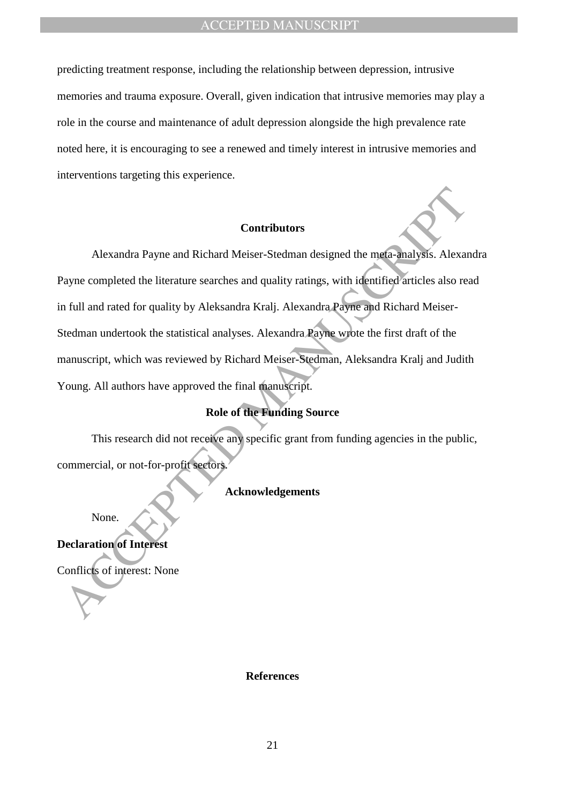predicting treatment response, including the relationship between depression, intrusive memories and trauma exposure. Overall, given indication that intrusive memories may play a role in the course and maintenance of adult depression alongside the high prevalence rate noted here, it is encouraging to see a renewed and timely interest in intrusive memories and interventions targeting this experience.

### **Contributors**

Contributors<br>
Contributors<br>
Alexandra Payne and Richard Meiser-Stedman designed the mema-analysis. Alexandra<br>
Payne completed the literature searches and quality ratings, with identified articles also rea<br>
fieldman underto Alexandra Payne and Richard Meiser-Stedman designed the meta-analysis. Alexandra Payne completed the literature searches and quality ratings, with identified articles also read in full and rated for quality by Aleksandra Kralj. Alexandra Payne and Richard Meiser-Stedman undertook the statistical analyses. Alexandra Payne wrote the first draft of the manuscript, which was reviewed by Richard Meiser-Stedman, Aleksandra Kralj and Judith Young. All authors have approved the final manuscript.

# **Role of the Funding Source**

This research did not receive any specific grant from funding agencies in the public, commercial, or not-for-profit sectors.

# **Acknowledgements**

None.

**Declaration of Interest** 

Conflicts of interest: None

#### **References**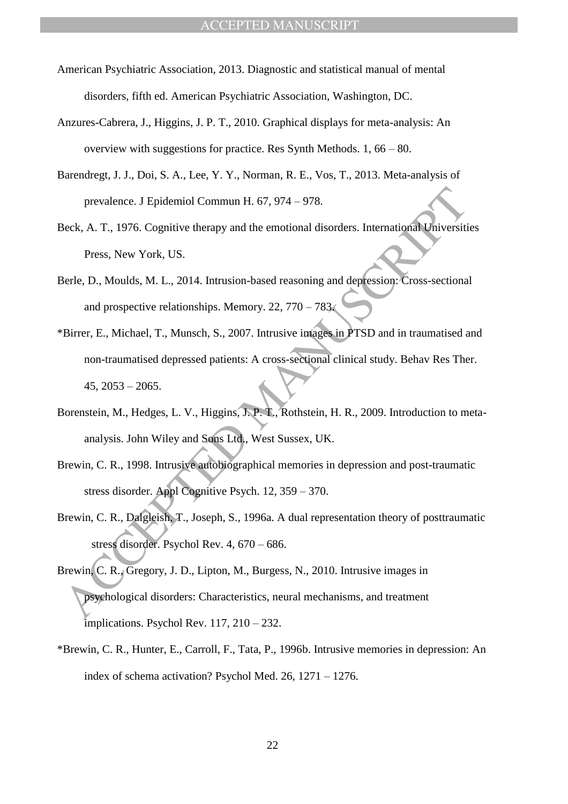- American Psychiatric Association, 2013. Diagnostic and statistical manual of mental disorders, fifth ed. American Psychiatric Association, Washington, DC.
- Anzures-Cabrera, J., Higgins, J. P. T., 2010. Graphical displays for meta-analysis: An overview with suggestions for practice. Res Synth Methods. 1, 66 – 80.
- Barendregt, J. J., Doi, S. A., Lee, Y. Y., Norman, R. E., Vos, T., 2013. Meta-analysis of prevalence. J Epidemiol Commun H. 67, 974 – 978.
- Beck, A. T., 1976. Cognitive therapy and the emotional disorders. International Universities Press, New York, US.
- Berle, D., Moulds, M. L., 2014. Intrusion-based reasoning and depression: Cross-sectional and prospective relationships. Memory. 22, 770 – 783.
- prevalence. J Epidemiol Commun H. 67, 974 978.<br>
Beck, A. T., 1976. Cognitive therapy and the emotional disorders. International Universiti<br>
Press, New York, US.<br>
Berle, D., Moulds, M. L., 2014. Intrusion-based reasoning \*Birrer, E., Michael, T., Munsch, S., 2007. Intrusive images in PTSD and in traumatised and non-traumatised depressed patients: A cross-sectional clinical study. Behav Res Ther.  $45, 2053 - 2065.$
- Borenstein, M., Hedges, L. V., Higgins, J. P. T., Rothstein, H. R., 2009. Introduction to metaanalysis. John Wiley and Sons Ltd., West Sussex, UK.
- Brewin, C. R., 1998. Intrusive autobiographical memories in depression and post-traumatic stress disorder. Appl Cognitive Psych. 12, 359 – 370.
- Brewin, C. R., Dalgleish, T., Joseph, S., 1996a. A dual representation theory of posttraumatic stress disorder. Psychol Rev. 4, 670 – 686.
- Brewin, C. R., Gregory, J. D., Lipton, M., Burgess, N., 2010. Intrusive images in psychological disorders: Characteristics, neural mechanisms, and treatment implications. Psychol Rev. 117, 210 – 232.
- \*Brewin, C. R., Hunter, E., Carroll, F., Tata, P., 1996b. Intrusive memories in depression: An index of schema activation? Psychol Med. 26, 1271 – 1276.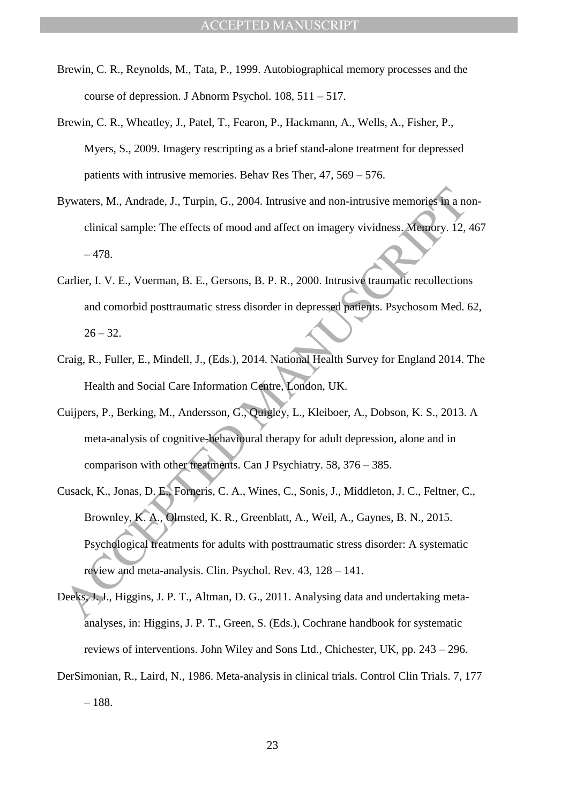- Brewin, C. R., Reynolds, M., Tata, P., 1999. Autobiographical memory processes and the course of depression. J Abnorm Psychol. 108, 511 – 517.
- Brewin, C. R., Wheatley, J., Patel, T., Fearon, P., Hackmann, A., Wells, A., Fisher, P., Myers, S., 2009. Imagery rescripting as a brief stand-alone treatment for depressed patients with intrusive memories. Behav Res Ther, 47, 569 – 576.
- Bywaters, M., Andrade, J., Turpin, G., 2004. Intrusive and non-intrusive memories in a nonclinical sample: The effects of mood and affect on imagery vividness. Memory. 12, 467 – 478.
- Carlier, I. V. E., Voerman, B. E., Gersons, B. P. R., 2000. Intrusive traumatic recollections and comorbid posttraumatic stress disorder in depressed patients. Psychosom Med. 62,  $26 - 32.$
- Craig, R., Fuller, E., Mindell, J., (Eds.), 2014. National Health Survey for England 2014. The Health and Social Care Information Centre, London, UK.
- Cuijpers, P., Berking, M., Andersson, G., Quigley, L., Kleiboer, A., Dobson, K. S., 2013. A meta-analysis of cognitive-behavioural therapy for adult depression, alone and in comparison with other treatments. Can J Psychiatry. 58, 376 – 385.
- Sywaters, M., Andrade, J., Turpin, G., 2004. Intrusive and non-intrusive memories in a neimical sample: The effects of mood and affect on imagery vividness. Memory. 12,<br>
-478.<br>
2. Tarlier, I. V. E., Voerman, B. E., Gersons Cusack, K., Jonas, D. E., Forneris, C. A., Wines, C., Sonis, J., Middleton, J. C., Feltner, C., Brownley, K. A., Olmsted, K. R., Greenblatt, A., Weil, A., Gaynes, B. N., 2015. Psychological treatments for adults with posttraumatic stress disorder: A systematic review and meta-analysis. Clin. Psychol. Rev. 43, 128 – 141.
- Deeks, J. J., Higgins, J. P. T., Altman, D. G., 2011. Analysing data and undertaking metaanalyses, in: Higgins, J. P. T., Green, S. (Eds.), Cochrane handbook for systematic reviews of interventions. John Wiley and Sons Ltd., Chichester, UK, pp. 243 – 296.
- DerSimonian, R., Laird, N., 1986. Meta-analysis in clinical trials. Control Clin Trials. 7, 177 – 188.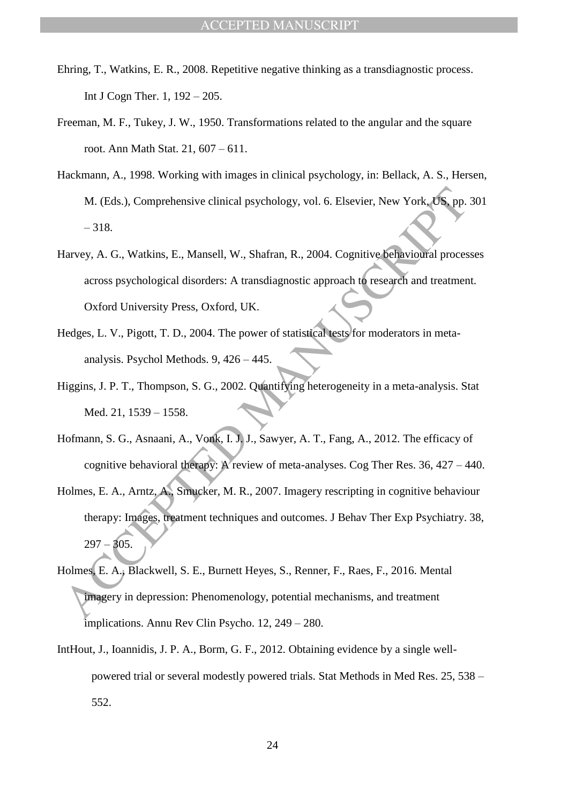- Ehring, T., Watkins, E. R., 2008. Repetitive negative thinking as a transdiagnostic process. Int J Cogn Ther. 1, 192 – 205.
- Freeman, M. F., Tukey, J. W., 1950. Transformations related to the angular and the square root. Ann Math Stat. 21, 607 – 611.
- Hackmann, A., 1998. Working with images in clinical psychology, in: Bellack, A. S., Hersen, M. (Eds.), Comprehensive clinical psychology, vol. 6. Elsevier, New York, US, pp. 301 – 318.
- Harvey, A. G., Watkins, E., Mansell, W., Shafran, R., 2004. Cognitive behavioural processes across psychological disorders: A transdiagnostic approach to research and treatment. Oxford University Press, Oxford, UK.
- Hedges, L. V., Pigott, T. D., 2004. The power of statistical tests for moderators in metaanalysis. Psychol Methods. 9, 426 – 445.
- Higgins, J. P. T., Thompson, S. G., 2002. Quantifying heterogeneity in a meta-analysis. Stat Med. 21, 1539 – 1558.
- Hofmann, S. G., Asnaani, A., Vonk, I. J. J., Sawyer, A. T., Fang, A., 2012. The efficacy of cognitive behavioral therapy: A review of meta-analyses. Cog Ther Res. 36, 427 – 440.
- M. (Eds.), Comprehensive clinical psychology, vol. 6. Elsevier, New York, US, pp.<br>
-318.<br>
Harvey, A. G., Watkins, E., Mansell, W., Shafran, R., 2004. Cognitive behavioural proces<br>
across psychological disorders: A transdia Holmes, E. A., Arntz, A., Smucker, M. R., 2007. Imagery rescripting in cognitive behaviour therapy: Images, treatment techniques and outcomes. J Behav Ther Exp Psychiatry. 38,  $297 - 305$ .
- Holmes, E. A., Blackwell, S. E., Burnett Heyes, S., Renner, F., Raes, F., 2016. Mental imagery in depression: Phenomenology, potential mechanisms, and treatment implications. Annu Rev Clin Psycho. 12, 249 – 280.
- IntHout, J., Ioannidis, J. P. A., Borm, G. F., 2012. Obtaining evidence by a single wellpowered trial or several modestly powered trials. Stat Methods in Med Res. 25, 538 – 552.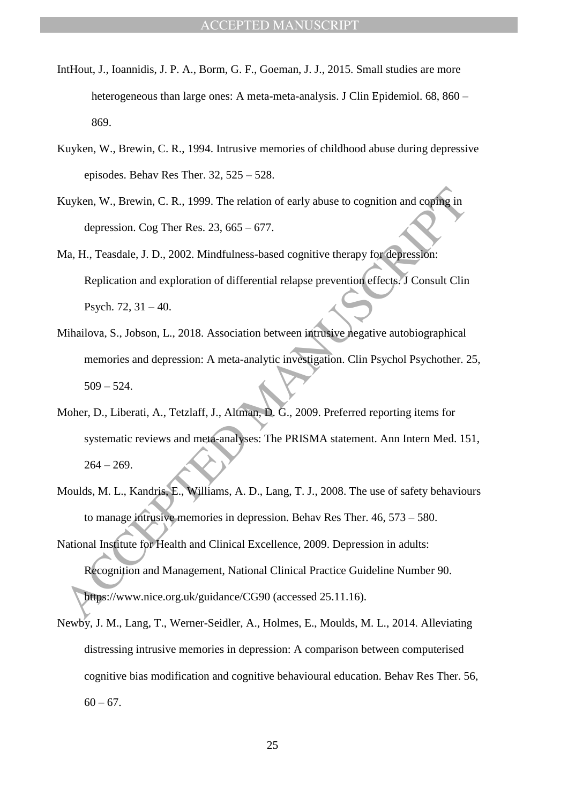- IntHout, J., Ioannidis, J. P. A., Borm, G. F., Goeman, J. J., 2015. Small studies are more heterogeneous than large ones: A meta-meta-analysis. J Clin Epidemiol. 68, 860 – 869.
- Kuyken, W., Brewin, C. R., 1994. Intrusive memories of childhood abuse during depressive episodes. Behav Res Ther. 32, 525 – 528.
- Kuyken, W., Brewin, C. R., 1999. The relation of early abuse to cognition and coping in depression. Cog Ther Res.  $23, 665 - 677$ .
- Ma, H., Teasdale, J. D., 2002. Mindfulness-based cognitive therapy for depression: Replication and exploration of differential relapse prevention effects. J Consult Clin Psych. 72, 31 – 40.
- Mihailova, S., Jobson, L., 2018. Association between intrusive negative autobiographical memories and depression: A meta-analytic investigation. Clin Psychol Psychother. 25,  $509 - 524.$
- Moher, D., Liberati, A., Tetzlaff, J., Altman, D. G., 2009. Preferred reporting items for systematic reviews and meta-analyses: The PRISMA statement. Ann Intern Med. 151,  $264 - 269.$
- Moulds, M. L., Kandris, E., Williams, A. D., Lang, T. J., 2008. The use of safety behaviours to manage intrusive memories in depression. Behav Res Ther. 46, 573 – 580.
- Kuyken, W., Brewin, C. R., 1999. The relation of early abuse to cognition and coping in<br>depression. Cog Ther Res. 23, 665 677.<br>
Ma, H., Teasdale, J. D., 2002. Mindfulness-based cognitive therapy for depression:<br>
Replica National Institute for Health and Clinical Excellence, 2009. Depression in adults: Recognition and Management, National Clinical Practice Guideline Number 90. https://www.nice.org.uk/guidance/CG90 (accessed 25.11.16).
- Newby, J. M., Lang, T., Werner-Seidler, A., Holmes, E., Moulds, M. L., 2014. Alleviating distressing intrusive memories in depression: A comparison between computerised cognitive bias modification and cognitive behavioural education. Behav Res Ther. 56,  $60 - 67$ .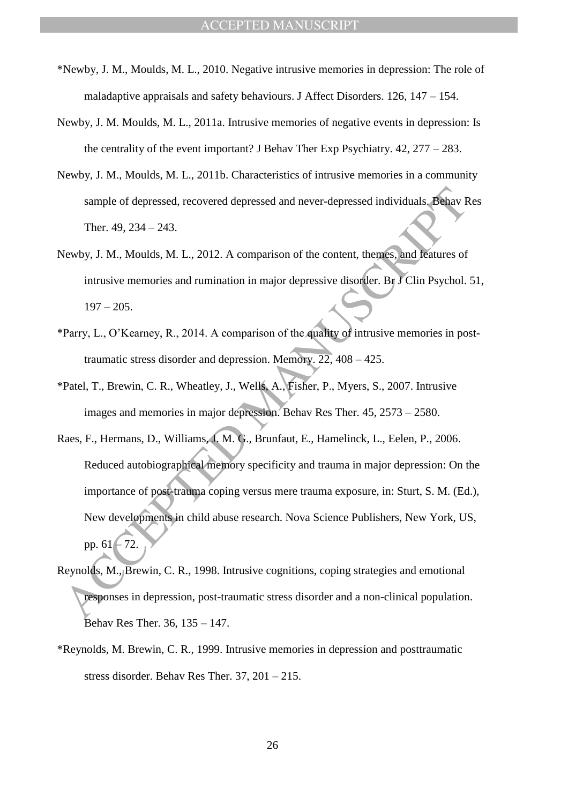- \*Newby, J. M., Moulds, M. L., 2010. Negative intrusive memories in depression: The role of maladaptive appraisals and safety behaviours. J Affect Disorders. 126, 147 – 154.
- Newby, J. M. Moulds, M. L., 2011a. Intrusive memories of negative events in depression: Is the centrality of the event important? J Behav Ther Exp Psychiatry. 42, 277 – 283.
- Newby, J. M., Moulds, M. L., 2011b. Characteristics of intrusive memories in a community sample of depressed, recovered depressed and never-depressed individuals. Behav Res Ther. 49, 234 – 243.
- Newby, J. M., Moulds, M. L., 2012. A comparison of the content, themes, and features of intrusive memories and rumination in major depressive disorder. Br J Clin Psychol. 51, 197 – 205.
- \*Parry, L., O"Kearney, R., 2014. A comparison of the quality of intrusive memories in posttraumatic stress disorder and depression. Memory. 22, 408 – 425.
- \*Patel, T., Brewin, C. R., Wheatley, J., Wells, A., Fisher, P., Myers, S., 2007. Intrusive images and memories in major depression. Behav Res Ther. 45, 2573 – 2580.
- sample of depressed, recovered depressed and never-depressed individuals. Behav Ther. 49, 234 243.<br>
Yewby, J. M., Moulds, M. L., 2012. A comparison of the content, themes, and features of<br>
intrusive memories and ruminat Raes, F., Hermans, D., Williams, J. M. G., Brunfaut, E., Hamelinck, L., Eelen, P., 2006. Reduced autobiographical memory specificity and trauma in major depression: On the importance of post-trauma coping versus mere trauma exposure, in: Sturt, S. M. (Ed.), New developments in child abuse research. Nova Science Publishers, New York, US, pp.  $61 - 72$ .
- Reynolds, M., Brewin, C. R., 1998. Intrusive cognitions, coping strategies and emotional responses in depression, post-traumatic stress disorder and a non-clinical population. Behav Res Ther. 36, 135 – 147.
- \*Reynolds, M. Brewin, C. R., 1999. Intrusive memories in depression and posttraumatic stress disorder. Behav Res Ther. 37, 201 – 215.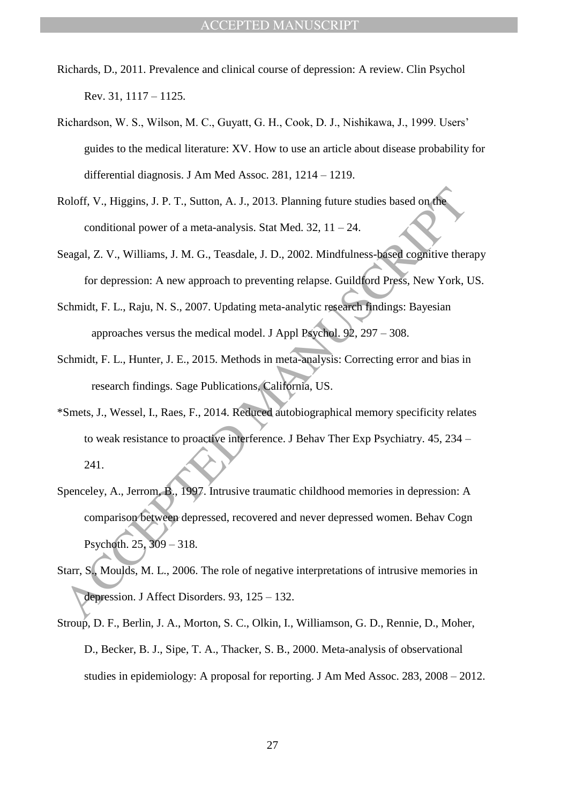- Richards, D., 2011. Prevalence and clinical course of depression: A review. Clin Psychol Rev. 31, 1117 – 1125.
- Richardson, W. S., Wilson, M. C., Guyatt, G. H., Cook, D. J., Nishikawa, J., 1999. Users" guides to the medical literature: XV. How to use an article about disease probability for differential diagnosis. J Am Med Assoc. 281, 1214 – 1219.
- Roloff, V., Higgins, J. P. T., Sutton, A. J., 2013. Planning future studies based on the conditional power of a meta-analysis. Stat Med.  $32$ ,  $11 - 24$ .
- Seagal, Z. V., Williams, J. M. G., Teasdale, J. D., 2002. Mindfulness-based cognitive therapy for depression: A new approach to preventing relapse. Guildford Press, New York, US.
- Schmidt, F. L., Raju, N. S., 2007. Updating meta-analytic research findings: Bayesian approaches versus the medical model. J Appl Psychol. 92, 297 – 308.
- Schmidt, F. L., Hunter, J. E., 2015. Methods in meta-analysis: Correcting error and bias in research findings. Sage Publications, California, US.
- \*Smets, J., Wessel, I., Raes, F., 2014. Reduced autobiographical memory specificity relates to weak resistance to proactive interference. J Behav Ther Exp Psychiatry. 45, 234 – 241.
- Roloff, V., Higgins, J. P. T., Sutton, A. J., 2013. Planning future studies based on the<br>
conditional power of a meta-analysis. Stat Med. 32, 11 24.<br>
Beagal, Z. V., Williams, J. M. G., Teasdale, J. D., 2002. Mindfulness-Spenceley, A., Jerrom, B., 1997. Intrusive traumatic childhood memories in depression: A comparison between depressed, recovered and never depressed women. Behav Cogn Psychoth. 25, 309 – 318.
- Starr, S., Moulds, M. L., 2006. The role of negative interpretations of intrusive memories in depression. J Affect Disorders. 93, 125 – 132.
- Stroup, D. F., Berlin, J. A., Morton, S. C., Olkin, I., Williamson, G. D., Rennie, D., Moher, D., Becker, B. J., Sipe, T. A., Thacker, S. B., 2000. Meta-analysis of observational studies in epidemiology: A proposal for reporting. J Am Med Assoc. 283, 2008 – 2012.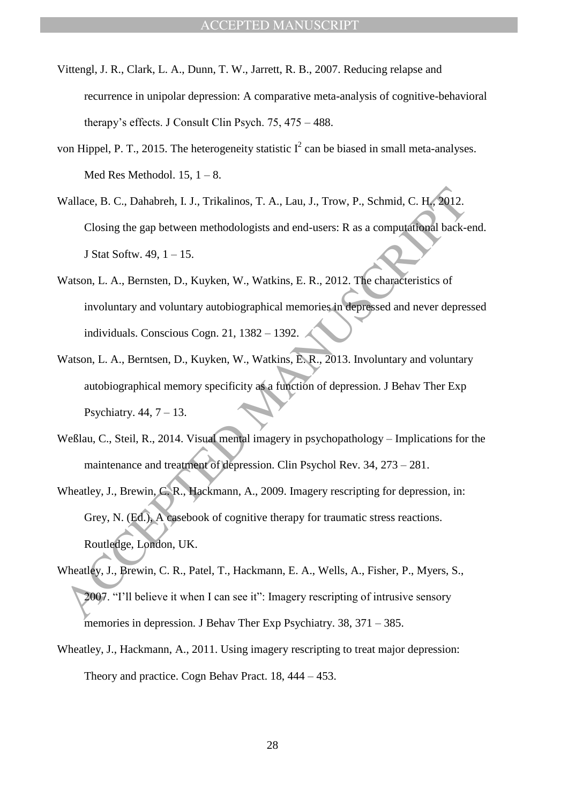- Vittengl, J. R., Clark, L. A., Dunn, T. W., Jarrett, R. B., 2007. Reducing relapse and recurrence in unipolar depression: A comparative meta-analysis of cognitive-behavioral therapy"s effects. J Consult Clin Psych. 75, 475 – 488.
- von Hippel, P. T., 2015. The heterogeneity statistic  $I^2$  can be biased in small meta-analyses. Med Res Methodol.  $15, 1 - 8$ .
- Wallace, B. C., Dahabreh, I. J., Trikalinos, T. A., Lau, J., Trow, P., Schmid, C. H., 2012. Closing the gap between methodologists and end-users: R as a computational back-end. J Stat Softw. 49, 1 – 15.
- Watson, L. A., Bernsten, D., Kuyken, W., Watkins, E. R., 2012. The characteristics of involuntary and voluntary autobiographical memories in depressed and never depressed individuals. Conscious Cogn. 21, 1382 – 1392.
- Watson, L. A., Berntsen, D., Kuyken, W., Watkins, E. R., 2013. Involuntary and voluntary autobiographical memory specificity as a function of depression. J Behav Ther Exp Psychiatry.  $44, 7 - 13$ .
- Weßlau, C., Steil, R., 2014. Visual mental imagery in psychopathology Implications for the maintenance and treatment of depression. Clin Psychol Rev. 34, 273 – 281.
- Wallace, B. C., Dahabreh, I. J., Trikalinos, T. A., Lau, J., Trow, P., Schmid, C. H., 2012.<br>
Closing the gap between methodologists and end-users: R as a computational back-<br>
1 Statt Softw. 49, 1 15.<br>
Matson, L. A., Bern Wheatley, J., Brewin, C. R., Hackmann, A., 2009. Imagery rescripting for depression, in: Grey, N. (Ed.), A casebook of cognitive therapy for traumatic stress reactions. Routledge, London, UK.
- Wheatley, J., Brewin, C. R., Patel, T., Hackmann, E. A., Wells, A., Fisher, P., Myers, S., 2007. "I"ll believe it when I can see it": Imagery rescripting of intrusive sensory memories in depression. J Behav Ther Exp Psychiatry. 38, 371 – 385.
- Wheatley, J., Hackmann, A., 2011. Using imagery rescripting to treat major depression: Theory and practice. Cogn Behav Pract. 18, 444 – 453.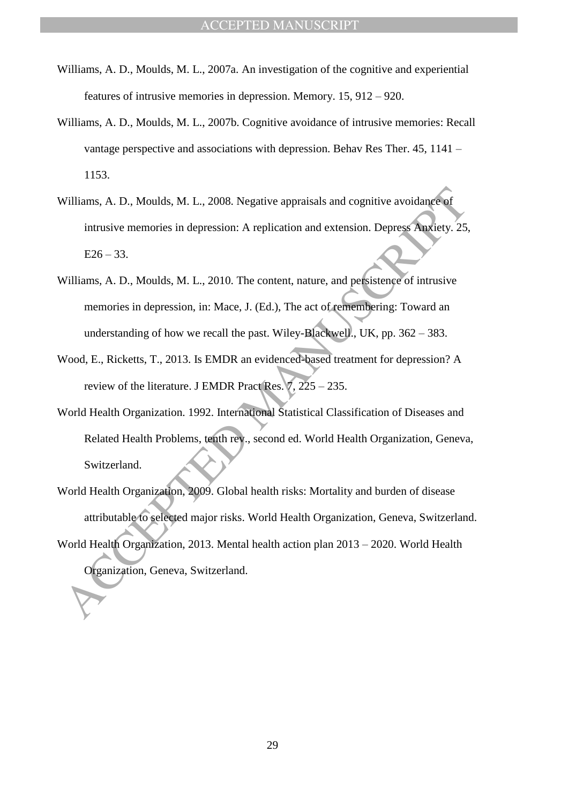- Williams, A. D., Moulds, M. L., 2007a. An investigation of the cognitive and experiential features of intrusive memories in depression. Memory. 15, 912 – 920.
- Williams, A. D., Moulds, M. L., 2007b. Cognitive avoidance of intrusive memories: Recall vantage perspective and associations with depression. Behav Res Ther. 45, 1141 – 1153.
- Williams, A. D., Moulds, M. L., 2008. Negative appraisals and cognitive avoidance of intrusive memories in depression: A replication and extension. Depress Anxiety. 25,  $E26 - 33$ .
- Williams, A. D., Moulds, M. L., 2010. The content, nature, and persistence of intrusive memories in depression, in: Mace, J. (Ed.), The act of remembering: Toward an understanding of how we recall the past. Wiley-Blackwell., UK, pp. 362 – 383.
- Wood, E., Ricketts, T., 2013. Is EMDR an evidenced-based treatment for depression? A review of the literature. J EMDR Pract Res. 7, 225 – 235.
- World Health Organization. 1992. International Statistical Classification of Diseases and Related Health Problems, tenth rev., second ed. World Health Organization, Geneva, Switzerland.
- Williams, A. D., Moulds, M. L., 2008. Negative appraisals and cognitive avoidance of<br>intrusive memories in depression: A replication and extension. Depress Anxiety. 25,<br>E26 33.<br>Williams, A. D., Moulds, M. L., 2010. The World Health Organization, 2009. Global health risks: Mortality and burden of disease attributable to selected major risks. World Health Organization, Geneva, Switzerland. World Health Organization, 2013. Mental health action plan 2013 – 2020. World Health Organization, Geneva, Switzerland.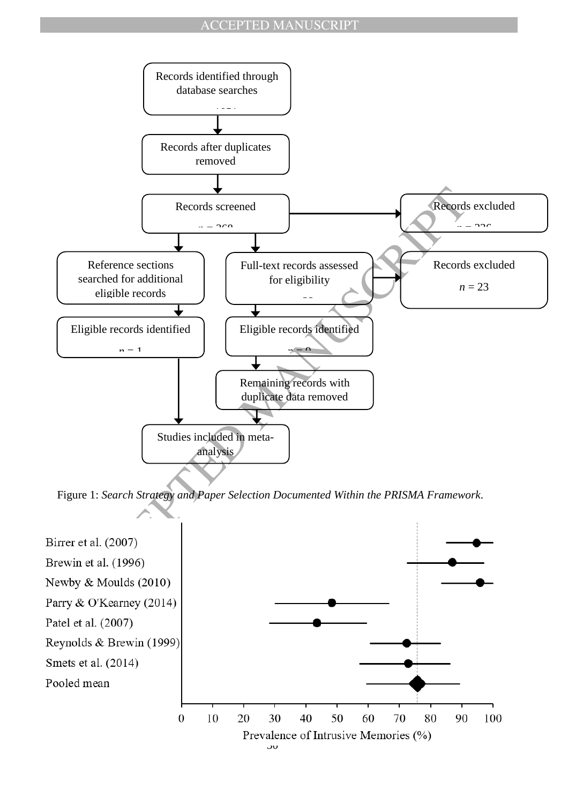

Figure 1: *Search Strategy and Paper Selection Documented Within the PRISMA Framework*.

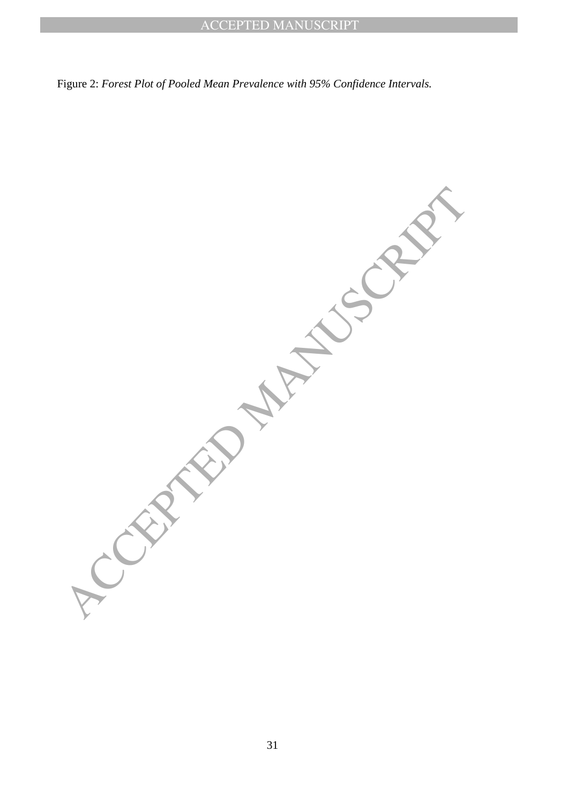Figure 2: *Forest Plot of Pooled Mean Prevalence with 95% Confidence Intervals.*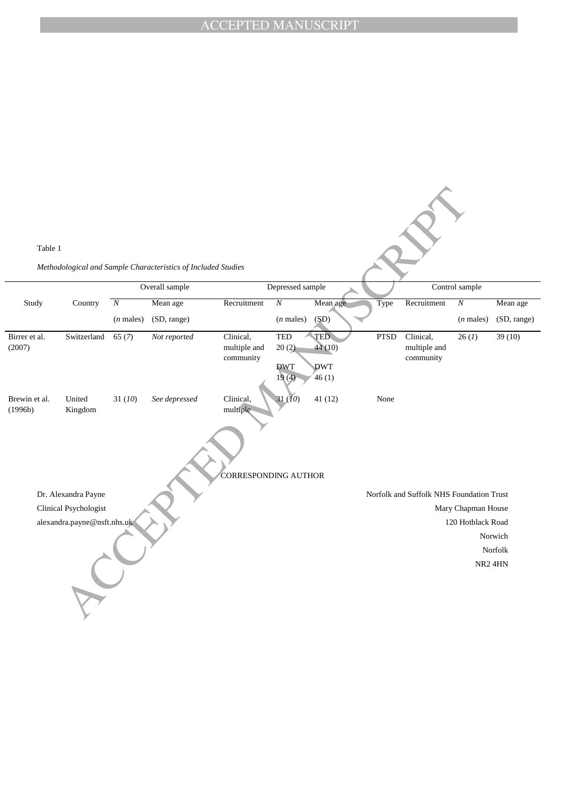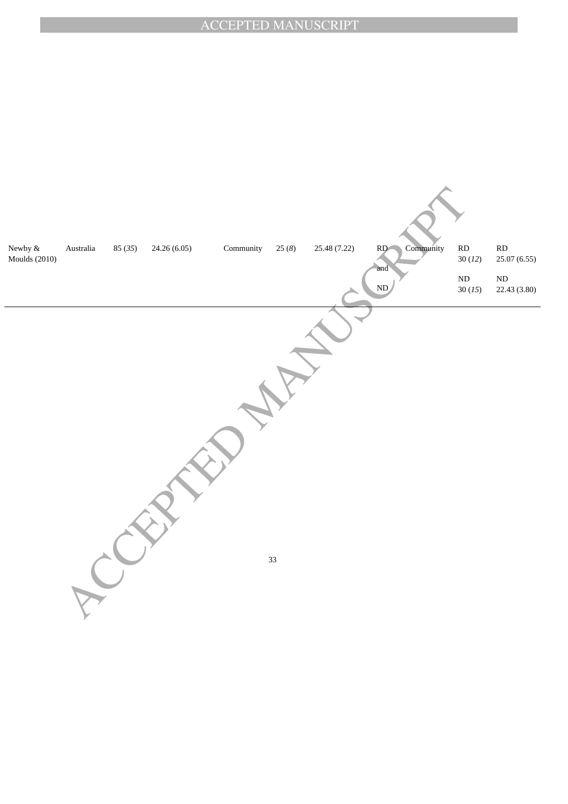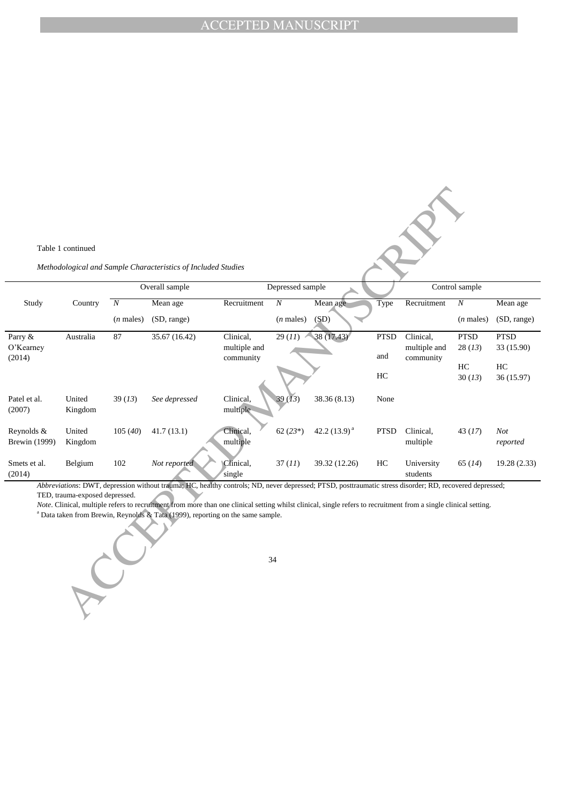l.

|                                    | Table 1 continued              |                  |                                                                                                                                                                                                                                                                                                                                                                                                                           |                                        |                  |                   |                    |                                        |                       |                           |
|------------------------------------|--------------------------------|------------------|---------------------------------------------------------------------------------------------------------------------------------------------------------------------------------------------------------------------------------------------------------------------------------------------------------------------------------------------------------------------------------------------------------------------------|----------------------------------------|------------------|-------------------|--------------------|----------------------------------------|-----------------------|---------------------------|
|                                    |                                |                  | Methodological and Sample Characteristics of Included Studies                                                                                                                                                                                                                                                                                                                                                             |                                        |                  |                   |                    |                                        |                       |                           |
|                                    |                                | Overall sample   |                                                                                                                                                                                                                                                                                                                                                                                                                           | Depressed sample                       |                  |                   |                    | Control sample                         |                       |                           |
| Study                              | Country                        | $\boldsymbol{N}$ | Mean age                                                                                                                                                                                                                                                                                                                                                                                                                  | Recruitment                            | $\boldsymbol{N}$ | Mean age          | Type               | Recruitment                            | $\cal N$              | Mean age                  |
|                                    |                                | $(n$ males)      | (SD, range)                                                                                                                                                                                                                                                                                                                                                                                                               |                                        | $(n$ males)      | (SD)              |                    |                                        | $(n$ males)           | (SD, range)               |
| Parry &<br>O'Kearney<br>(2014)     | Australia                      | 87               | 35.67 (16.42)                                                                                                                                                                                                                                                                                                                                                                                                             | Clinical,<br>multiple and<br>community | 29(11)           | 38(17.43)         | <b>PTSD</b><br>and | Clinical,<br>multiple and<br>community | <b>PTSD</b><br>28(13) | <b>PTSD</b><br>33 (15.90) |
|                                    |                                |                  |                                                                                                                                                                                                                                                                                                                                                                                                                           |                                        |                  |                   | HC                 |                                        | HC<br>30(13)          | HC<br>36 (15.97)          |
| Patel et al.<br>(2007)             | United<br>Kingdom              | 39(13)           | See depressed                                                                                                                                                                                                                                                                                                                                                                                                             | Clinical,<br>multiple                  | 39(13)           | 38.36 (8.13)      | None               |                                        |                       |                           |
| Reynolds &<br><b>Brewin</b> (1999) | United<br>Kingdom              | 105(40)          | 41.7(13.1)                                                                                                                                                                                                                                                                                                                                                                                                                | Clinical,<br>multiple                  | $62(23*)$        | 42.2 $(13.9)^{a}$ | <b>PTSD</b>        | Clinical,<br>multiple                  | 43(17)                | Not<br>reported           |
| Smets et al.<br>(2014)             | Belgium                        | 102              | Not reported                                                                                                                                                                                                                                                                                                                                                                                                              | Clinical,<br>single                    | 37(11)           | 39.32 (12.26)     | HC                 | University<br>students                 | 65(14)                | 19.28 (2.33)              |
|                                    | TED, trauma-exposed depressed. |                  | Abbreviations: DWT, depression without trauma; HC, healthy controls; ND, never depressed; PTSD, posttraumatic stress disorder; RD, recovered depressed;<br>Note. Clinical, multiple refers to recruitment from more than one clinical setting whilst clinical, single refers to recruitment from a single clinical setting.<br><sup>a</sup> Data taken from Brewin, Reynolds & Tata (1999), reporting on the same sample. |                                        | 34               |                   |                    |                                        |                       |                           |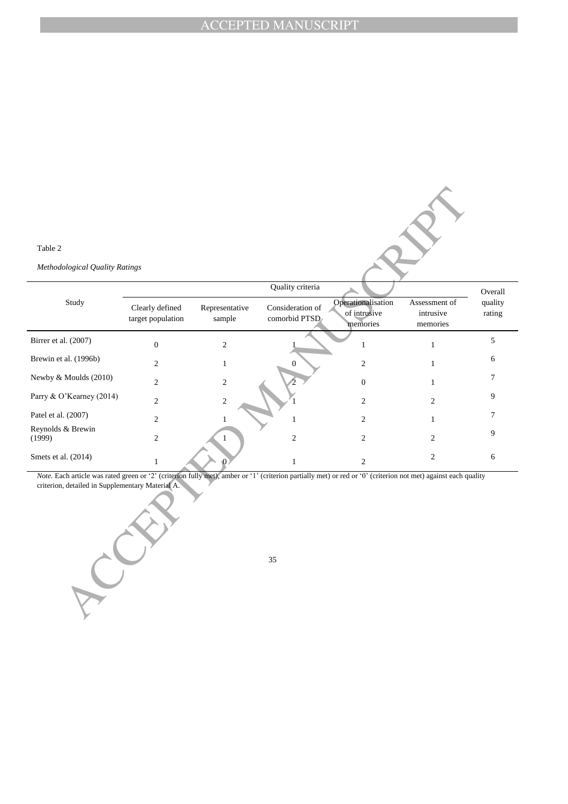#### Table 2

| Table 2                                                                                                                                                                                                            |                                      |                          |                                   |                                                |                                        |                   |
|--------------------------------------------------------------------------------------------------------------------------------------------------------------------------------------------------------------------|--------------------------------------|--------------------------|-----------------------------------|------------------------------------------------|----------------------------------------|-------------------|
| Methodological Quality Ratings                                                                                                                                                                                     |                                      |                          |                                   |                                                |                                        |                   |
|                                                                                                                                                                                                                    |                                      |                          | Quality criteria                  |                                                |                                        | Overall           |
| Study                                                                                                                                                                                                              | Clearly defined<br>target population | Representative<br>sample | Consideration of<br>comorbid PTSD | Operationalisation<br>of intrusive<br>memories | Assessment of<br>intrusive<br>memories | quality<br>rating |
| Birrer et al. (2007)                                                                                                                                                                                               | $\boldsymbol{0}$                     | $\overline{c}$           |                                   | $\mathbf{1}$                                   | $\mathbf{1}$                           | 5                 |
| Brewin et al. (1996b)                                                                                                                                                                                              | $\overline{c}$                       | $\mathbf{1}$             | $\Omega$                          | $\mathfrak{2}$                                 | $\mathbf{1}$                           | 6                 |
| Newby & Moulds (2010)                                                                                                                                                                                              | $\overline{c}$                       | $\sqrt{2}$               |                                   | $\boldsymbol{0}$                               | $\mathbf{1}$                           | 7                 |
| Parry & O'Kearney (2014)                                                                                                                                                                                           | $\overline{c}$                       | $\sqrt{2}$               |                                   | $\boldsymbol{2}$                               | $\mathfrak{2}$                         | 9                 |
| Patel et al. (2007)                                                                                                                                                                                                | $\overline{c}$                       | $\mathbf{1}$             | 1                                 | $\overline{c}$                                 | $\mathbf{1}$                           | 7                 |
| Reynolds & Brewin<br>(1999)                                                                                                                                                                                        | $\boldsymbol{2}$                     |                          | $\sqrt{2}$                        | $\overline{c}$                                 | $\overline{2}$                         | 9                 |
| Smets et al. (2014)                                                                                                                                                                                                | $\mathbf{1}$                         |                          | $\mathbf{1}$                      | $\overline{2}$                                 | $\overline{2}$                         | 6                 |
| Note. Each article was rated green or '2' (criterion fully met), amber or '1' (criterion partially met) or red or '0' (criterion not met) against each quality<br>criterion, detailed in Supplementary Material A. |                                      |                          | 35                                |                                                |                                        |                   |
|                                                                                                                                                                                                                    |                                      |                          |                                   |                                                |                                        |                   |

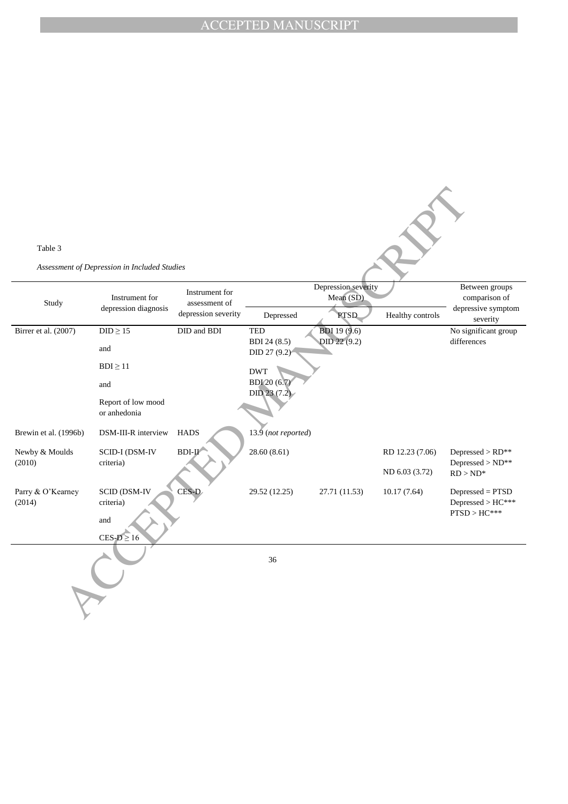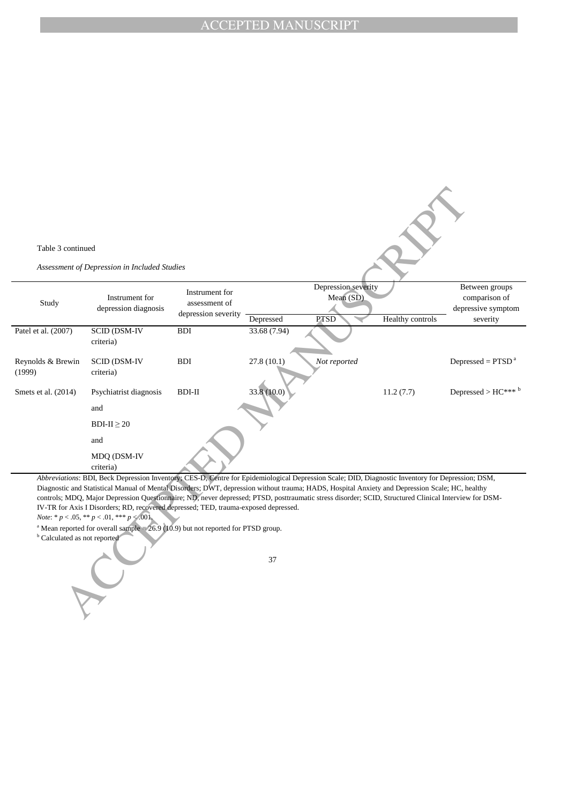

*Abbreviations*: BDI, Beck Depression Inventory; CES-D, Centre for Epidemiological Depression Scale; DID, Diagnostic Inventory for Depression; DSM, Diagnostic and Statistical Manual of Mental Disorders; DWT, depression without trauma; HADS, Hospital Anxiety and Depression Scale; HC, healthy controls; MDQ, Major Depression Questionnaire; ND, never depressed; PTSD, posttraumatic stress disorder; SCID, Structured Clinical Interview for DSM-IV-TR for Axis I Disorders; RD, recovered depressed; TED, trauma-exposed depressed.

*Note*: \* *p* < .05, \*\* *p* < .01, \*\*\* *p* < .001.

<sup>a</sup> Mean reported for overall sample =  $26.9$  (10.9) but not reported for PTSD group.

**b** Calculated as not reported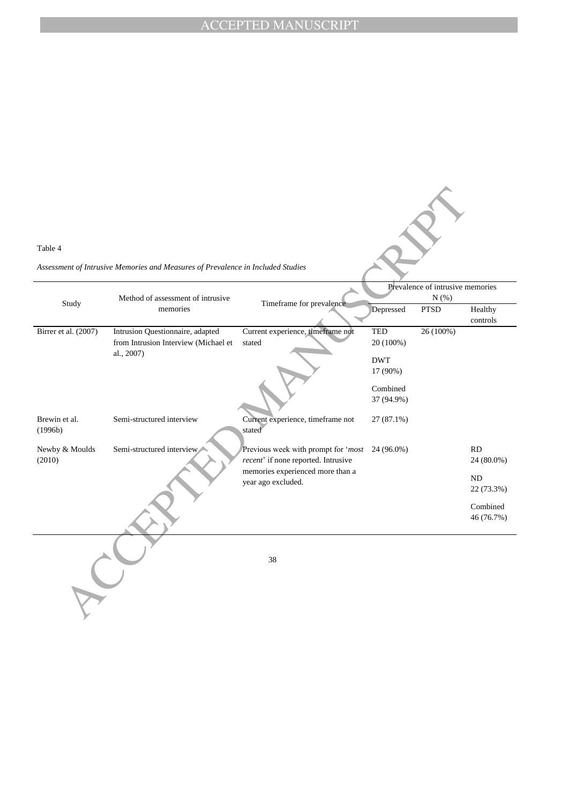| Table 4                  | Assessment of Intrusive Memories and Measures of Prevalence in Included Studies        |                                                                            |                                                                                 |          |                         |  |
|--------------------------|----------------------------------------------------------------------------------------|----------------------------------------------------------------------------|---------------------------------------------------------------------------------|----------|-------------------------|--|
| Study                    | Method of assessment of intrusive<br>memories                                          | Timeframe for prevalence                                                   | Prevalence of intrusive memories<br>N(%)<br>Depressed<br><b>PTSD</b><br>Healthy |          |                         |  |
|                          |                                                                                        |                                                                            |                                                                                 |          | controls                |  |
| Birrer et al. (2007)     | Intrusion Questionnaire, adapted<br>from Intrusion Interview (Michael et<br>al., 2007) | Current experience, timeframe not<br>stated                                | <b>TED</b><br>20 (100%)<br><b>DWT</b><br>17 (90%)                               | 26(100%) |                         |  |
|                          |                                                                                        |                                                                            | Combined<br>37 (94.9%)                                                          |          |                         |  |
| Brewin et al.<br>(1996b) | Semi-structured interview                                                              | Current experience, timeframe not<br>stated                                | $27(87.1\%)$                                                                    |          |                         |  |
| Newby & Moulds<br>(2010) | Semi-structured interview                                                              | Previous week with prompt for 'most<br>recent' if none reported. Intrusive | 24 (96.0%)                                                                      |          | RD<br>24 (80.0%)        |  |
|                          |                                                                                        | memories experienced more than a<br>year ago excluded.                     |                                                                                 |          | <b>ND</b><br>22 (73.3%) |  |
|                          |                                                                                        |                                                                            |                                                                                 |          | Combined<br>46 (76.7%)  |  |
|                          |                                                                                        | 38                                                                         |                                                                                 |          |                         |  |
|                          |                                                                                        |                                                                            |                                                                                 |          |                         |  |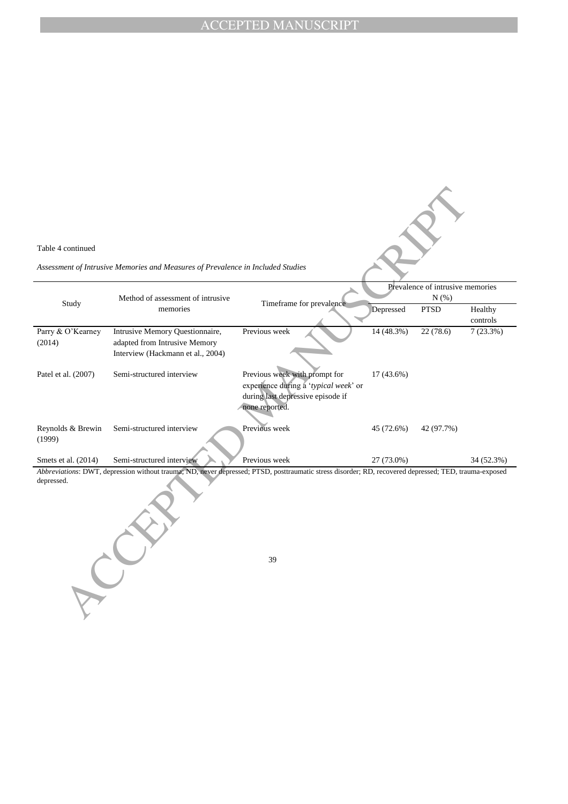continued<br>
continued<br>
neural distance and Measures of Prevalence in Included Soulties<br>
Study<br>
Method of assessment of introduce<br>
Study<br>
Method of assessment of introduce<br>
Manuscript Quantity Chemical method is the matrice Table 4 continued *Assessment of Intrusive Memories and Measures of Prevalence in Included Studies* Study Method of assessment of intrusive memories Timeframe for prevalence Prevalence of intrusive memories N (%) Depressed PTSD Healthy controls Parry & O"Kearney (2014) Intrusive Memory Questionnaire, adapted from Intrusive Memory Interview (Hackmann et al., 2004) Previous week 14 (48.3%) 22 (78.6) 7 (23.3%) Patel et al. (2007) Semi-structured interview Previous week with prompt for experience during a "*typical week*" or during last depressive episode if none reported. 17 (43.6%) Reynolds & Brewin (1999) Semi-structured interview Previous week 45 (72.6%) 42 (97.7%) Smets et al. (2014) Semi-structured interview Previous week 27 (73.0%) 34 (52.3%) *Abbreviations*: DWT, depression without trauma; ND, never depressed; PTSD, posttraumatic stress disorder; RD, recovered depressed; TED, trauma-exposed depressed.

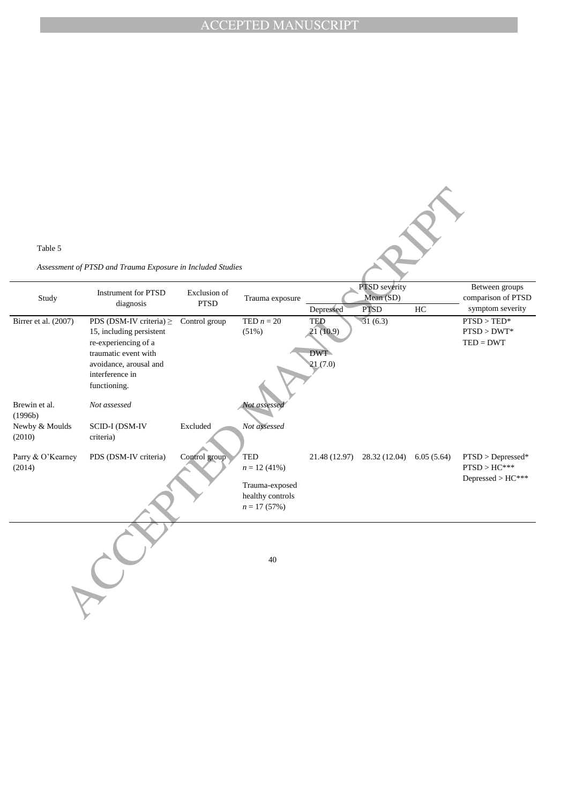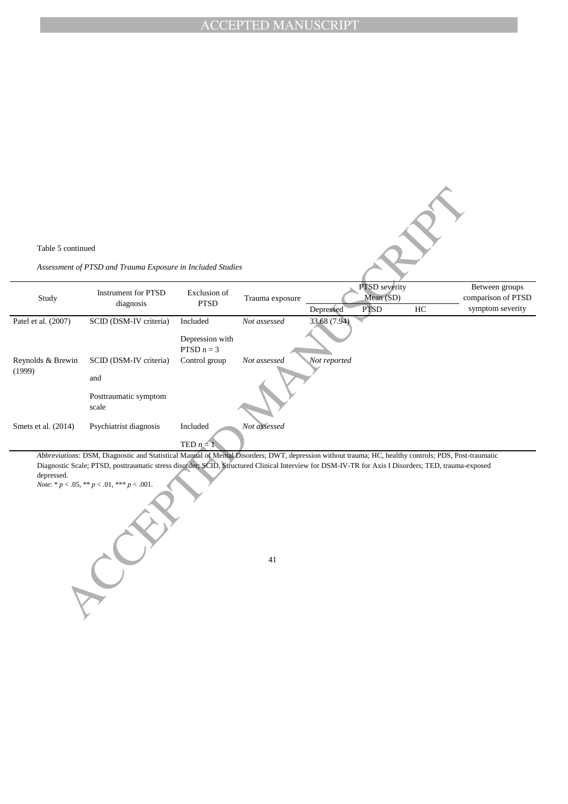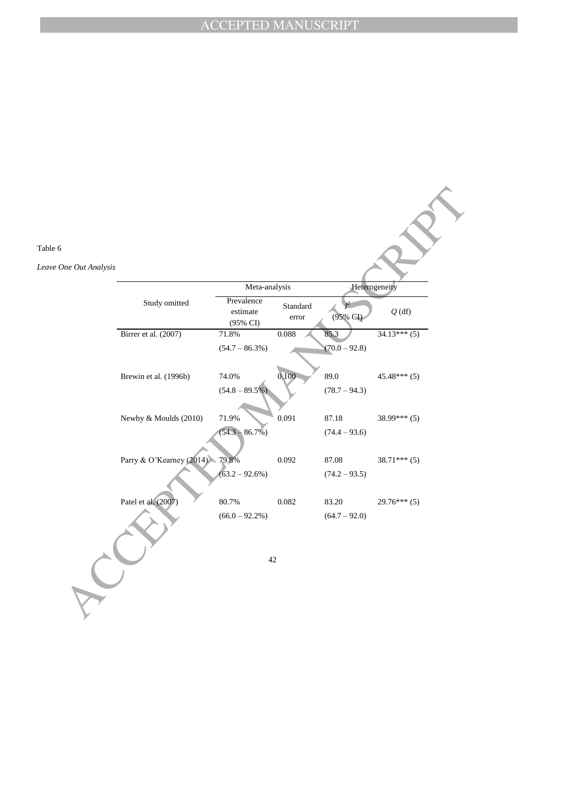| Table 6                |                          |                                          |                   |                 |                |  |
|------------------------|--------------------------|------------------------------------------|-------------------|-----------------|----------------|--|
| Leave One Out Analysis |                          |                                          |                   |                 |                |  |
|                        |                          | Meta-analysis                            |                   | Heterogeneity   |                |  |
|                        | Study omitted            | Prevalence<br>$\it estimate$<br>(95% CI) | Standard<br>error | (95% CI)        | $Q$ (df)       |  |
|                        | Birrer et al. (2007)     | 71.8%                                    | 0.088             | 85.3            | $34.13***(5)$  |  |
|                        |                          | $(54.7 - 86.3\%)$                        |                   | $(70.0 - 92.8)$ |                |  |
|                        | Brewin et al. (1996b)    | 74.0%                                    | 0.100             | 89.0            | $45.48***(5)$  |  |
|                        |                          | $(54.8 - 89.5\%)$                        |                   | $(78.7 - 94.3)$ |                |  |
|                        | Newby & Moulds (2010)    | 71.9%                                    | 0.091             | 87.18           | $38.99***(5)$  |  |
|                        |                          | $(54.3 - 86.7\%)$                        |                   | $(74.4 - 93.6)$ |                |  |
|                        | Parry & O'Kearney (2014) | 79.8%                                    | 0.092             | 87.08           | $38.71***$ (5) |  |
|                        |                          | $(63.2 - 92.6%)$                         |                   | $(74.2 - 93.5)$ |                |  |
|                        | Patel et al. (2007)      | 80.7%                                    | 0.082             | 83.20           | $29.76***(5)$  |  |
|                        |                          | $(66.0 - 92.2\%)$                        |                   | $(64.7 - 92.0)$ |                |  |
|                        | 42                       |                                          |                   |                 |                |  |
|                        |                          |                                          |                   |                 |                |  |